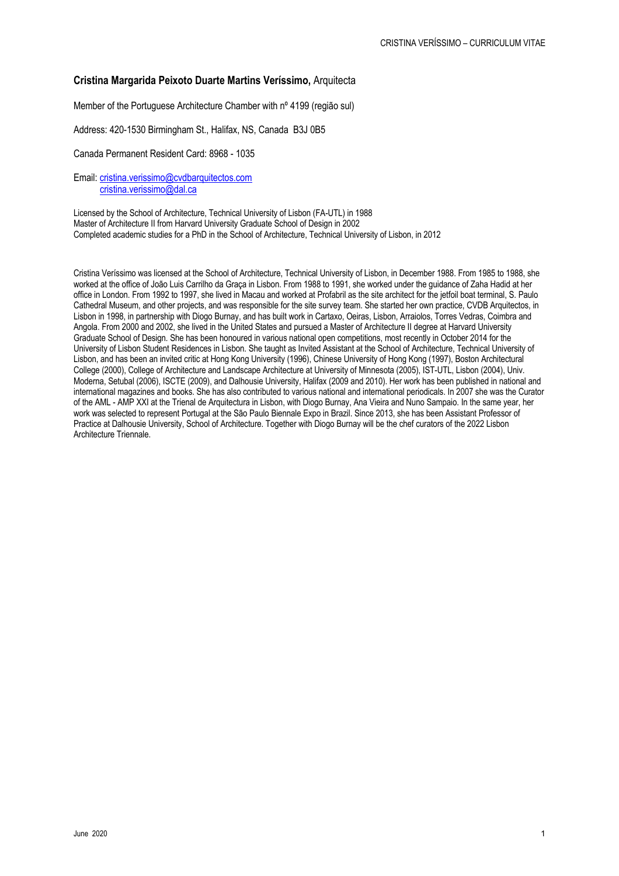# **Cristina Margarida Peixoto Duarte Martins Veríssimo,** Arquitecta

Member of the Portuguese Architecture Chamber with nº 4199 (região sul)

Address: 420-1530 Birmingham St., Halifax, NS, Canada B3J 0B5

Canada Permanent Resident Card: 8968 - 1035

Email: cristina.verissimo@cvdbarquitectos.com cristina.verissimo@dal.ca

Licensed by the School of Architecture, Technical University of Lisbon (FA-UTL) in 1988 Master of Architecture II from Harvard University Graduate School of Design in 2002 Completed academic studies for a PhD in the School of Architecture, Technical University of Lisbon, in 2012

Cristina Veríssimo was licensed at the School of Architecture, Technical University of Lisbon, in December 1988. From 1985 to 1988, she worked at the office of João Luis Carrilho da Graça in Lisbon. From 1988 to 1991, she worked under the guidance of Zaha Hadid at her office in London. From 1992 to 1997, she lived in Macau and worked at Profabril as the site architect for the jetfoil boat terminal, S. Paulo Cathedral Museum, and other projects, and was responsible for the site survey team. She started her own practice, CVDB Arquitectos, in Lisbon in 1998, in partnership with Diogo Burnay, and has built work in Cartaxo, Oeiras, Lisbon, Arraiolos, Torres Vedras, Coimbra and Angola. From 2000 and 2002, she lived in the United States and pursued a Master of Architecture II degree at Harvard University Graduate School of Design*.* She has been honoured in various national open competitions, most recently in October 2014 for the University of Lisbon Student Residences in Lisbon. She taught as Invited Assistant at the School of Architecture, Technical University of Lisbon, and has been an invited critic at Hong Kong University (1996), Chinese University of Hong Kong (1997), Boston Architectural College (2000), College of Architecture and Landscape Architecture at University of Minnesota (2005), IST-UTL, Lisbon (2004), Univ. Moderna, Setubal (2006), ISCTE (2009), and Dalhousie University, Halifax (2009 and 2010). Her work has been published in national and international magazines and books. She has also contributed to various national and international periodicals. In 2007 she was the Curator of the AML - AMP XXI at the Trienal de Arquitectura in Lisbon, with Diogo Burnay, Ana Vieira and Nuno Sampaio. In the same year, her work was selected to represent Portugal at the São Paulo Biennale Expo in Brazil. Since 2013, she has been Assistant Professor of Practice at Dalhousie University, School of Architecture. Together with Diogo Burnay will be the chef curators of the 2022 Lisbon Architecture Triennale.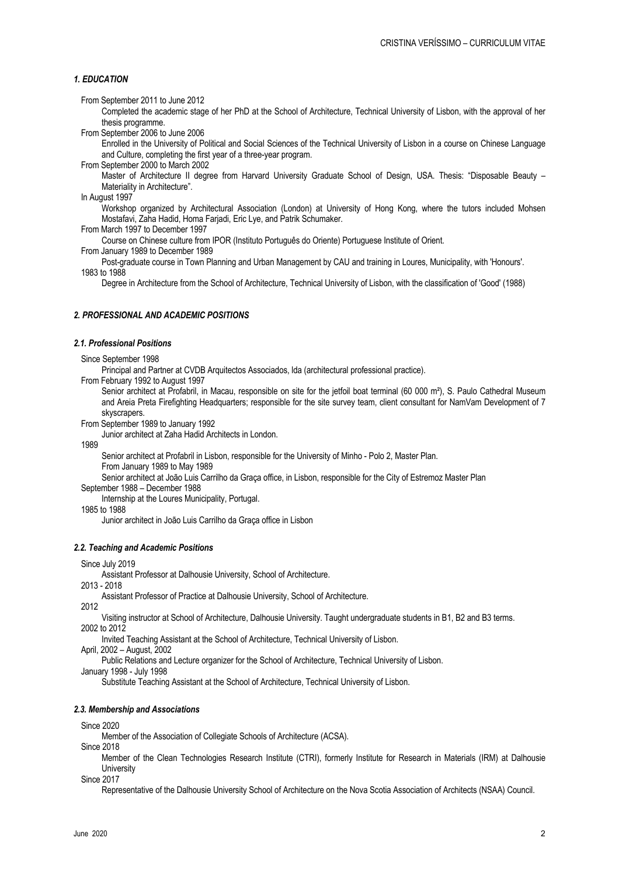# *1. EDUCATION*

From September 2011 to June 2012

Completed the academic stage of her PhD at the School of Architecture, Technical University of Lisbon, with the approval of her thesis programme.

From September 2006 to June 2006

Enrolled in the University of Political and Social Sciences of the Technical University of Lisbon in a course on Chinese Language and Culture, completing the first year of a three-year program.

From September 2000 to March 2002

Master of Architecture II degree from Harvard University Graduate School of Design, USA. Thesis: "Disposable Beauty – Materiality in Architecture".

In August 1997

Workshop organized by Architectural Association (London) at University of Hong Kong, where the tutors included Mohsen Mostafavi, Zaha Hadid, Homa Farjadi, Eric Lye, and Patrik Schumaker.

From March 1997 to December 1997

Course on Chinese culture from IPOR (Instituto Português do Oriente) Portuguese Institute of Orient.

From January 1989 to December 1989

Post-graduate course in Town Planning and Urban Management by CAU and training in Loures, Municipality, with 'Honours'. 1983 to 1988

Degree in Architecture from the School of Architecture, Technical University of Lisbon, with the classification of 'Good' (1988)

# *2. PROFESSIONAL AND ACADEMIC POSITIONS*

#### *2.1. Professional Positions*

Since September 1998

Principal and Partner at CVDB Arquitectos Associados, lda (architectural professional practice).

From February 1992 to August 1997

Senior architect at Profabril, in Macau, responsible on site for the jetfoil boat terminal (60 000 m²), S. Paulo Cathedral Museum and Areia Preta Firefighting Headquarters; responsible for the site survey team, client consultant for NamVam Development of 7 skyscrapers.

From September 1989 to January 1992

Junior architect at Zaha Hadid Architects in London.

1989

Senior architect at Profabril in Lisbon, responsible for the University of Minho - Polo 2, Master Plan.

From January 1989 to May 1989

Senior architect at João Luis Carrilho da Graça office, in Lisbon, responsible for the City of Estremoz Master Plan

September 1988 – December 1988

Internship at the Loures Municipality, Portugal.

1985 to 1988

Junior architect in João Luis Carrilho da Graça office in Lisbon

#### *2.2. Teaching and Academic Positions*

Since July 2019

Assistant Professor at Dalhousie University, School of Architecture.

2013 - 2018

Assistant Professor of Practice at Dalhousie University, School of Architecture.

2012

Visiting instructor at School of Architecture, Dalhousie University. Taught undergraduate students in B1, B2 and B3 terms. 2002 to 2012

Invited Teaching Assistant at the School of Architecture, Technical University of Lisbon.

April, 2002 – August, 2002

Public Relations and Lecture organizer for the School of Architecture, Technical University of Lisbon.

January 1998 - July 1998

Substitute Teaching Assistant at the School of Architecture, Technical University of Lisbon.

## *2.3. Membership and Associations*

Since 2020

Member of the Association of Collegiate Schools of Architecture (ACSA).

Since 2018

Member of the Clean Technologies Research Institute (CTRI), formerly Institute for Research in Materials (IRM) at Dalhousie **University** 

Since 2017

Representative of the Dalhousie University School of Architecture on the Nova Scotia Association of Architects (NSAA) Council.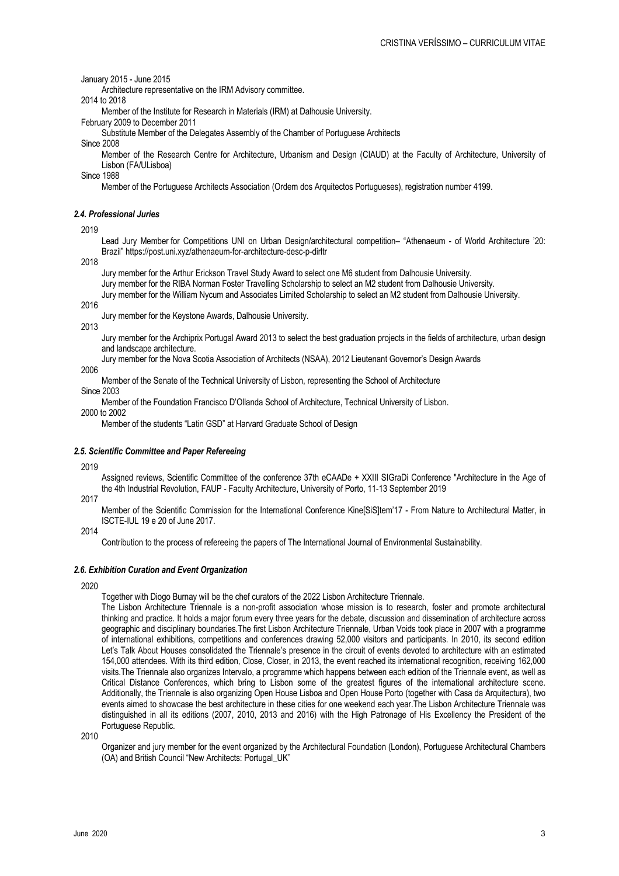January 2015 - June 2015

Architecture representative on the IRM Advisory committee.

2014 to 2018

Member of the Institute for Research in Materials (IRM) at Dalhousie University.

February 2009 to December 2011

Substitute Member of the Delegates Assembly of the Chamber of Portuguese Architects

Since 2008

Member of the Research Centre for Architecture, Urbanism and Design (CIAUD) at the Faculty of Architecture, University of Lisbon (FA/ULisboa)

Since 1988

Member of the Portuguese Architects Association (Ordem dos Arquitectos Portugueses), registration number 4199.

# *2.4. Professional Juries*

2019

Lead Jury Member for Competitions UNI on Urban Design/architectural competition– "Athenaeum - of World Architecture '20: Brazil" https://post.uni.xyz/athenaeum-for-architecture-desc-p-dirltr

2018

Jury member for the Arthur Erickson Travel Study Award to select one M6 student from Dalhousie University.

Jury member for the RIBA Norman Foster Travelling Scholarship to select an M2 student from Dalhousie University.

Jury member for the William Nycum and Associates Limited Scholarship to select an M2 student from Dalhousie University.

2016

Jury member for the Keystone Awards, Dalhousie University.

2013

Jury member for the Archiprix Portugal Award 2013 to select the best graduation projects in the fields of architecture, urban design and landscape architecture.

Jury member for the Nova Scotia Association of Architects (NSAA), 2012 Lieutenant Governor's Design Awards

2006

Member of the Senate of the Technical University of Lisbon, representing the School of Architecture

Since 2003

Member of the Foundation Francisco D'Ollanda School of Architecture, Technical University of Lisbon.

2000 to 2002

Member of the students "Latin GSD" at Harvard Graduate School of Design

### *2.5. Scientific Committee and Paper Refereeing*

2019

Assigned reviews, Scientific Committee of the conference 37th eCAADe + XXIII SIGraDi Conference "Architecture in the Age of the 4th Industrial Revolution, FAUP - Faculty Architecture, University of Porto, 11-13 September 2019

2017

Member of the Scientific Commission for the International Conference Kine[SiS]tem'17 - From Nature to Architectural Matter, in ISCTE-IUL 19 e 20 of June 2017.

2014

Contribution to the process of refereeing the papers of The International Journal of Environmental Sustainability.

#### *2.6. Exhibition Curation and Event Organization*

2020

Together with Diogo Burnay will be the chef curators of the 2022 Lisbon Architecture Triennale.

The Lisbon Architecture Triennale is a non-profit association whose mission is to research, foster and promote architectural thinking and practice. It holds a major forum every three years for the debate, discussion and dissemination of architecture across geographic and disciplinary boundaries.The first Lisbon Architecture Triennale, Urban Voids took place in 2007 with a programme of international exhibitions, competitions and conferences drawing 52,000 visitors and participants. In 2010, its second edition Let's Talk About Houses consolidated the Triennale's presence in the circuit of events devoted to architecture with an estimated 154,000 attendees. With its third edition, Close, Closer, in 2013, the event reached its international recognition, receiving 162,000 visits.The Triennale also organizes Intervalo, a programme which happens between each edition of the Triennale event, as well as Critical Distance Conferences, which bring to Lisbon some of the greatest figures of the international architecture scene. Additionally, the Triennale is also organizing Open House Lisboa and Open House Porto (together with Casa da Arquitectura), two events aimed to showcase the best architecture in these cities for one weekend each year.The Lisbon Architecture Triennale was distinguished in all its editions (2007, 2010, 2013 and 2016) with the High Patronage of His Excellency the President of the Portuguese Republic.

2010

Organizer and jury member for the event organized by the Architectural Foundation (London), Portuguese Architectural Chambers (OA) and British Council "New Architects: Portugal\_UK"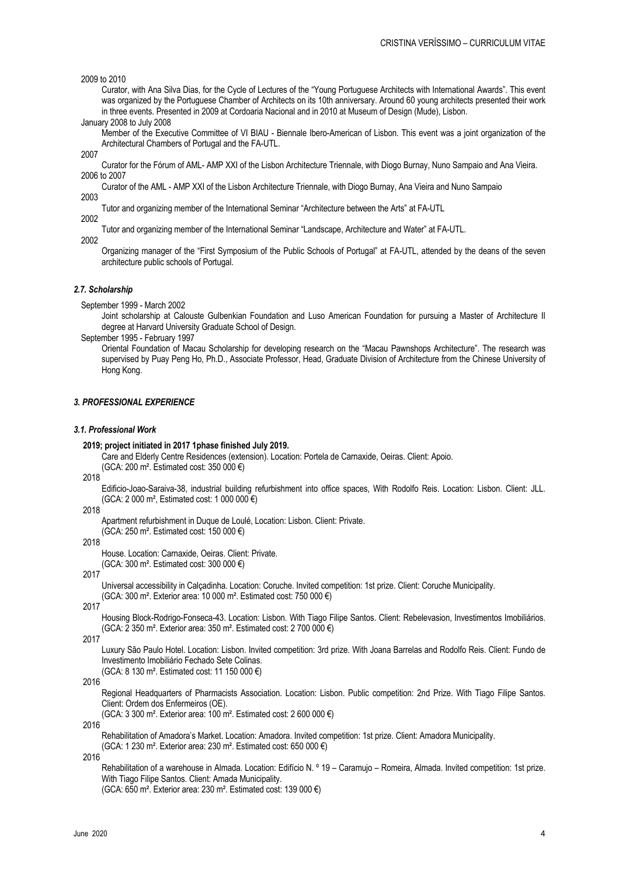2009 to 2010

Curator, with Ana Silva Dias, for the Cycle of Lectures of the "Young Portuguese Architects with International Awards". This event was organized by the Portuguese Chamber of Architects on its 10th anniversary. Around 60 young architects presented their work in three events. Presented in 2009 at Cordoaria Nacional and in 2010 at Museum of Design (Mude), Lisbon.

January 2008 to July 2008

Member of the Executive Committee of VI BIAU - Biennale Ibero-American of Lisbon. This event was a joint organization of the Architectural Chambers of Portugal and the FA-UTL.

2007

Curator for the Fórum of AML- AMP XXI of the Lisbon Architecture Triennale, with Diogo Burnay, Nuno Sampaio and Ana Vieira. 2006 to 2007

Curator of the AML - AMP XXI of the Lisbon Architecture Triennale, with Diogo Burnay, Ana Vieira and Nuno Sampaio 2003

Tutor and organizing member of the International Seminar "Architecture between the Arts" at FA-UTL

2002 2002

Tutor and organizing member of the International Seminar "Landscape, Architecture and Water" at FA-UTL.

Organizing manager of the "First Symposium of the Public Schools of Portugal" at FA-UTL, attended by the deans of the seven architecture public schools of Portugal.

# *2.7. Scholarship*

September 1999 - March 2002

Joint scholarship at Calouste Gulbenkian Foundation and Luso American Foundation for pursuing a Master of Architecture II degree at Harvard University Graduate School of Design.

September 1995 - February 1997

Oriental Foundation of Macau Scholarship for developing research on the "Macau Pawnshops Architecture". The research was supervised by Puay Peng Ho, Ph.D., Associate Professor, Head, Graduate Division of Architecture from the Chinese University of Hong Kong.

## *3. PROFESSIONAL EXPERIENCE*

# *3.1. Professional Work*

#### **2019; project initiated in 2017 1phase finished July 2019.**

Care and Elderly Centre Residences (extension). Location: Portela de Carnaxide, Oeiras. Client: Apoio.

(GCA: 200 m². Estimated cost: 350 000 €)

2018

Edificio-Joao-Saraiva-38, industrial building refurbishment into office spaces, With Rodolfo Reis. Location: Lisbon. Client: JLL. (GCA: 2 000 m², Estimated cost: 1 000 000 €)

#### 2018

Apartment refurbishment in Duque de Loulé, Location: Lisbon. Client: Private.

(GCA: 250 m². Estimated cost: 150 000 €)

2018

House. Location: Carnaxide, Oeiras. Client: Private. (GCA: 300 m². Estimated cost: 300 000 €)

2017

Universal accessibility in Calçadinha. Location: Coruche. Invited competition: 1st prize. Client: Coruche Municipality.

(GCA: 300 m². Exterior area: 10 000 m². Estimated cost: 750 000 €)

2017

Housing Block-Rodrigo-Fonseca-43. Location: Lisbon. With Tiago Filipe Santos. Client: Rebelevasion, Investimentos Imobiliários. (GCA: 2 350 m². Exterior area: 350 m². Estimated cost: 2 700 000 €)

2017

Luxury São Paulo Hotel. Location: Lisbon. Invited competition: 3rd prize. With Joana Barrelas and Rodolfo Reis. Client: Fundo de Investimento Imobiliário Fechado Sete Colinas.

(GCA: 8 130 m². Estimated cost: 11 150 000 €)

2016

Regional Headquarters of Pharmacists Association. Location: Lisbon. Public competition: 2nd Prize. With Tiago Filipe Santos. Client: Ordem dos Enfermeiros (OE).

(GCA: 3 300 m². Exterior area: 100 m². Estimated cost: 2 600 000 €)

2016

Rehabilitation of Amadora's Market. Location: Amadora. Invited competition: 1st prize. Client: Amadora Municipality. (GCA: 1 230 m². Exterior area: 230 m². Estimated cost: 650 000 €)

2016

Rehabilitation of a warehouse in Almada. Location: Edifício N. º 19 – Caramujo – Romeira, Almada. Invited competition: 1st prize. With Tiago Filipe Santos. Client: Amada Municipality. (GCA: 650 m². Exterior area: 230 m². Estimated cost: 139 000 €)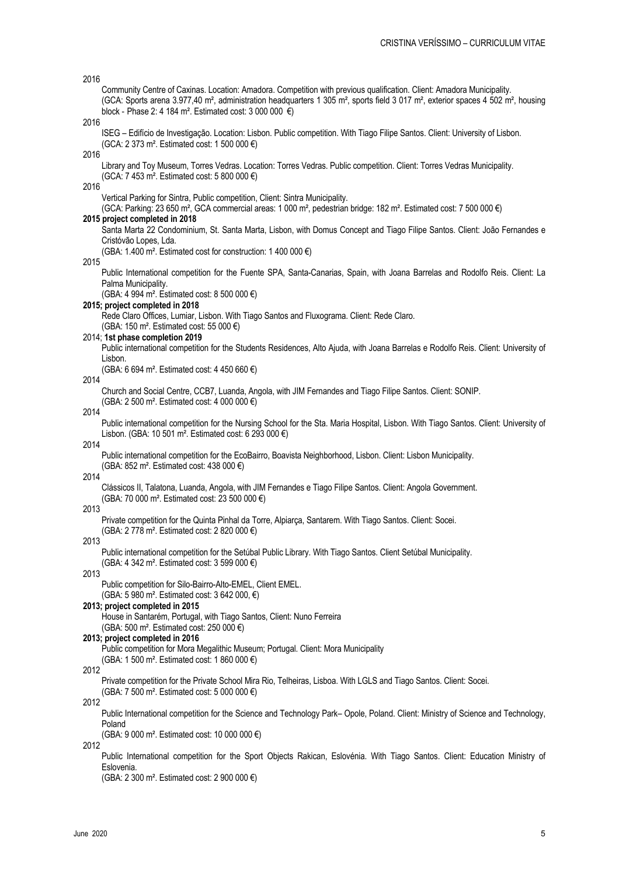# Community Centre of Caxinas. Location: Amadora. Competition with previous qualification. Client: Amadora Municipality. (GCA: Sports arena 3.977,40 m², administration headquarters 1 305 m², sports field 3 017 m², exterior spaces 4 502 m², housing block - Phase 2: 4 184 m<sup>2</sup>. Estimated cost: 3 000 000  $\epsilon$ ) ISEG – Edifício de Investigação. Location: Lisbon. Public competition. With Tiago Filipe Santos. Client: University of Lisbon. (GCA: 2 373 m². Estimated cost: 1 500 000 €) Library and Toy Museum, Torres Vedras. Location: Torres Vedras. Public competition. Client: Torres Vedras Municipality. (GCA: 7 453 m². Estimated cost: 5 800 000 €) Vertical Parking for Sintra, Public competition, Client: Sintra Municipality. (GCA: Parking: 23 650 m², GCA commercial areas: 1 000 m², pedestrian bridge: 182 m². Estimated cost: 7 500 000 €) **2015 project completed in 2018** Santa Marta 22 Condominium, St. Santa Marta, Lisbon, with Domus Concept and Tiago Filipe Santos. Client: João Fernandes e Cristóvão Lopes, Lda. (GBA: 1.400 m<sup>2</sup>. Estimated cost for construction: 1 400 000  $\epsilon$ ) Public International competition for the Fuente SPA, Santa-Canarias, Spain, with Joana Barrelas and Rodolfo Reis. Client: La Palma Municipality. (GBA: 4 994 m². Estimated cost: 8 500 000 €) **2015; project completed in 2018** Rede Claro Offices, Lumiar, Lisbon. With Tiago Santos and Fluxograma. Client: Rede Claro. (GBA: 150 m². Estimated cost: 55 000 €) 2014; **1st phase completion 2019** Public international competition for the Students Residences, Alto Ajuda, with Joana Barrelas e Rodolfo Reis. Client: University of Lisbon. (GBA: 6 694 m². Estimated cost: 4 450 660 €) Church and Social Centre, CCB7, Luanda, Angola, with JIM Fernandes and Tiago Filipe Santos. Client: SONIP.

(GBA: 2 500 m². Estimated cost: 4 000 000 €)

# 2014

2014

2016

2016

2016

2016

2015

Public international competition for the Nursing School for the Sta. Maria Hospital, Lisbon. With Tiago Santos. Client: University of Lisbon. (GBA: 10 501 m². Estimated cost: 6 293 000 €)

2014

Public international competition for the EcoBairro, Boavista Neighborhood, Lisbon. Client: Lisbon Municipality. (GBA: 852 m². Estimated cost: 438 000 €)

#### 2014

Clássicos II, Talatona, Luanda, Angola, with JIM Fernandes e Tiago Filipe Santos. Client: Angola Government. (GBA: 70 000 m². Estimated cost: 23 500 000 €)

#### 2013

Private competition for the Quinta Pinhal da Torre, Alpiarça, Santarem. With Tiago Santos. Client: Socei.

(GBA: 2 778 m². Estimated cost: 2 820 000 €) 2013

Public international competition for the Setúbal Public Library. With Tiago Santos. Client Setúbal Municipality. (GBA: 4 342 m². Estimated cost: 3 599 000 €)

# 2013

Public competition for Silo-Bairro-Alto-EMEL, Client EMEL.

(GBA: 5 980 m². Estimated cost: 3 642 000, €)

#### **2013; project completed in 2015**

House in Santarém, Portugal, with Tiago Santos, Client: Nuno Ferreira

(GBA: 500 m². Estimated cost: 250 000 €)

# **2013; project completed in 2016**

Public competition for Mora Megalithic Museum; Portugal. Client: Mora Municipality

(GBA: 1 500 m². Estimated cost: 1 860 000 €)

#### 2012

Private competition for the Private School Mira Rio, Telheiras, Lisboa. With LGLS and Tiago Santos. Client: Socei. (GBA: 7 500 m². Estimated cost: 5 000 000 €)

2012

Public International competition for the Science and Technology Park– Opole, Poland. Client: Ministry of Science and Technology, Poland

(GBA: 9 000 m². Estimated cost: 10 000 000 €)

2012

Public International competition for the Sport Objects Rakican, Eslovénia. With Tiago Santos. Client: Education Ministry of Eslovenia.

(GBA: 2 300 m². Estimated cost: 2 900 000 €)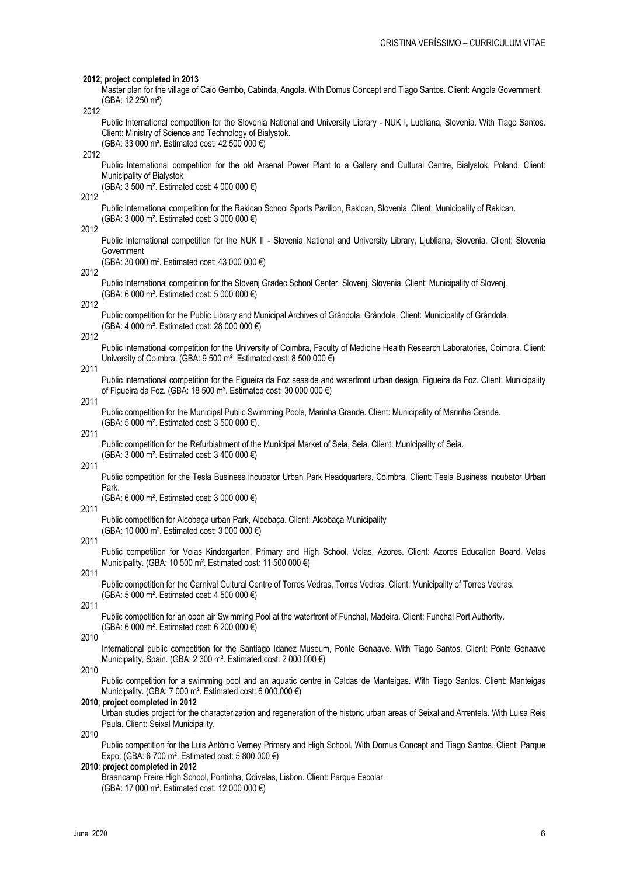#### **2012**; **project completed in 2013**

Master plan for the village of Caio Gembo, Cabinda, Angola. With Domus Concept and Tiago Santos. Client: Angola Government. (GBA: 12 250 m²)

2012

Public International competition for the Slovenia National and University Library - NUK I, Lubliana, Slovenia. With Tiago Santos. Client: Ministry of Science and Technology of Bialystok.

(GBA: 33 000 m². Estimated cost: 42 500 000 €)

2012

Public International competition for the old Arsenal Power Plant to a Gallery and Cultural Centre, Bialystok, Poland. Client: Municipality of Bialystok

(GBA: 3 500 m². Estimated cost: 4 000 000 €)

2012

Public International competition for the Rakican School Sports Pavilion, Rakican, Slovenia. Client: Municipality of Rakican. (GBA: 3 000 m². Estimated cost: 3 000 000 €)

2012

Public International competition for the NUK II - Slovenia National and University Library, Liubliana, Slovenia. Client: Slovenia Government

(GBA: 30 000 m². Estimated cost: 43 000 000 €)

2012

Public International competition for the Slovenj Gradec School Center, Slovenj, Slovenia. Client: Municipality of Slovenj. (GBA: 6 000 m². Estimated cost: 5 000 000 €)

2012

Public competition for the Public Library and Municipal Archives of Grândola, Grândola. Client: Municipality of Grândola. (GBA: 4 000 m². Estimated cost: 28 000 000 €)

2012

Public international competition for the University of Coimbra, Faculty of Medicine Health Research Laboratories, Coimbra. Client: University of Coimbra. (GBA: 9 500 m². Estimated cost: 8 500 000 €)

2011

Public international competition for the Figueira da Foz seaside and waterfront urban design, Figueira da Foz. Client: Municipality of Figueira da Foz. (GBA: 18 500 m². Estimated cost: 30 000 000 €)

 $201'$ 

Public competition for the Municipal Public Swimming Pools, Marinha Grande. Client: Municipality of Marinha Grande. (GBA: 5 000 m². Estimated cost: 3 500 000 €).

2011

Public competition for the Refurbishment of the Municipal Market of Seia, Seia. Client: Municipality of Seia. (GBA: 3 000 m². Estimated cost: 3 400 000 €)

2011

Public competition for the Tesla Business incubator Urban Park Headquarters, Coimbra. Client: Tesla Business incubator Urban Park.

(GBA: 6 000 m². Estimated cost: 3 000 000 €)

2011

Public competition for Alcobaça urban Park, Alcobaça. Client: Alcobaça Municipality

(GBA: 10 000 m². Estimated cost: 3 000 000 €)

2011

Public competition for Velas Kindergarten, Primary and High School, Velas, Azores. Client: Azores Education Board, Velas Municipality. (GBA: 10 500 m². Estimated cost: 11 500 000 €)

2011

Public competition for the Carnival Cultural Centre of Torres Vedras, Torres Vedras. Client: Municipality of Torres Vedras. (GBA: 5 000 m². Estimated cost: 4 500 000 €)

2011

Public competition for an open air Swimming Pool at the waterfront of Funchal, Madeira. Client: Funchal Port Authority. (GBA: 6 000 m². Estimated cost: 6 200 000 €)

2010

International public competition for the Santiago Idanez Museum, Ponte Genaave. With Tiago Santos. Client: Ponte Genaave Municipality, Spain. (GBA: 2 300 m². Estimated cost: 2 000 000 €)

2010

Public competition for a swimming pool and an aquatic centre in Caldas de Manteigas. With Tiago Santos. Client: Manteigas Municipality. (GBA: 7 000 m². Estimated cost: 6 000 000 €)

#### **2010**; **project completed in 2012**

Urban studies project for the characterization and regeneration of the historic urban areas of Seixal and Arrentela. With Luisa Reis Paula. Client: Seixal Municipality.

2010

Public competition for the Luis António Verney Primary and High School. With Domus Concept and Tiago Santos. Client: Parque Expo. (GBA: 6 700 m². Estimated cost: 5 800 000 €)

# **2010**; **project completed in 2012**

Braancamp Freire High School, Pontinha, Odivelas, Lisbon. Client: Parque Escolar. (GBA: 17 000 m². Estimated cost: 12 000 000 €)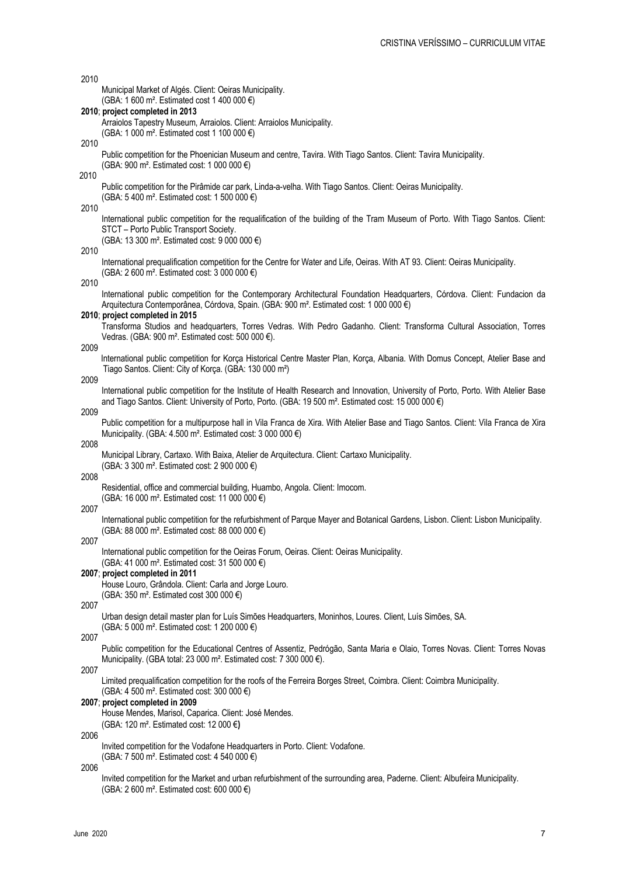| 2010 |                                                                                                                                                                                                                  |
|------|------------------------------------------------------------------------------------------------------------------------------------------------------------------------------------------------------------------|
|      | Municipal Market of Algés. Client: Oeiras Municipality.                                                                                                                                                          |
|      | (GBA: 1 600 m <sup>2</sup> . Estimated cost 1 400 000 €)<br>2010; project completed in 2013                                                                                                                      |
|      | Arraiolos Tapestry Museum, Arraiolos. Client: Arraiolos Municipality.                                                                                                                                            |
|      | (GBA: 1 000 m <sup>2</sup> . Estimated cost 1 100 000 €)                                                                                                                                                         |
| 2010 |                                                                                                                                                                                                                  |
|      | Public competition for the Phoenician Museum and centre, Tavira. With Tiago Santos. Client: Tavira Municipality.<br>(GBA: 900 m <sup>2</sup> . Estimated cost: 1 000 000 €)                                      |
| 2010 |                                                                                                                                                                                                                  |
|      | Public competition for the Pirâmide car park, Linda-a-velha. With Tiago Santos. Client: Oeiras Municipality.                                                                                                     |
|      | (GBA: 5 400 m <sup>2</sup> . Estimated cost: 1 500 000 €)                                                                                                                                                        |
| 2010 | International public competition for the requalification of the building of the Tram Museum of Porto. With Tiago Santos. Client:                                                                                 |
|      | STCT - Porto Public Transport Society.                                                                                                                                                                           |
|      | (GBA: 13 300 m <sup>2</sup> . Estimated cost: 9 000 000 €)                                                                                                                                                       |
| 2010 | International prequalification competition for the Centre for Water and Life, Oeiras. With AT 93. Client: Oeiras Municipality.                                                                                   |
|      | (GBA: 2 600 m <sup>2</sup> . Estimated cost: 3 000 000 €)                                                                                                                                                        |
| 2010 |                                                                                                                                                                                                                  |
|      | International public competition for the Contemporary Architectural Foundation Headquarters, Córdova. Client: Fundacion da                                                                                       |
|      | Arquitectura Contemporânea, Córdova, Spain. (GBA: 900 m <sup>2</sup> . Estimated cost: 1 000 000 €)<br>2010; project completed in 2015                                                                           |
|      | Transforma Studios and headquarters, Torres Vedras. With Pedro Gadanho. Client: Transforma Cultural Association, Torres                                                                                          |
|      | Vedras. (GBA: 900 m <sup>2</sup> . Estimated cost: 500 000 €).                                                                                                                                                   |
| 2009 | International public competition for Korça Historical Centre Master Plan, Korça, Albania. With Domus Concept, Atelier Base and                                                                                   |
|      | Tiago Santos. Client: City of Korça. (GBA: 130 000 m <sup>2</sup> )                                                                                                                                              |
| 2009 |                                                                                                                                                                                                                  |
|      | International public competition for the Institute of Health Research and Innovation, University of Porto, Porto. With Atelier Base                                                                              |
| 2009 | and Tiago Santos. Client: University of Porto, Porto. (GBA: 19 500 m <sup>2</sup> . Estimated cost: 15 000 000 €)                                                                                                |
|      | Public competition for a multipurpose hall in Vila Franca de Xira. With Atelier Base and Tiago Santos. Client: Vila Franca de Xira                                                                               |
|      | Municipality. (GBA: 4.500 m <sup>2</sup> . Estimated cost: 3 000 000 $\epsilon$ )                                                                                                                                |
|      |                                                                                                                                                                                                                  |
| 2008 |                                                                                                                                                                                                                  |
|      | Municipal Library, Cartaxo. With Baixa, Atelier de Arquitectura. Client: Cartaxo Municipality.<br>(GBA: 3 300 m <sup>2</sup> . Estimated cost: 2 900 000 €)                                                      |
| 2008 |                                                                                                                                                                                                                  |
|      | Residential, office and commercial building, Huambo, Angola. Client: Imocom.                                                                                                                                     |
| 2007 | (GBA: 16 000 m <sup>2</sup> . Estimated cost: 11 000 000 €)                                                                                                                                                      |
|      | International public competition for the refurbishment of Parque Mayer and Botanical Gardens, Lisbon. Client: Lisbon Municipality.                                                                               |
|      | (GBA: 88 000 m <sup>2</sup> . Estimated cost: 88 000 000 €)                                                                                                                                                      |
| 2007 |                                                                                                                                                                                                                  |
|      | International public competition for the Oeiras Forum, Oeiras. Client: Oeiras Municipality.<br>(GBA: 41 000 m <sup>2</sup> . Estimated cost: 31 500 000 €)                                                       |
|      | 2007; project completed in 2011                                                                                                                                                                                  |
|      | House Louro, Grândola. Client: Carla and Jorge Louro.                                                                                                                                                            |
| 2007 | (GBA: 350 m <sup>2</sup> . Estimated cost 300 000 €)                                                                                                                                                             |
|      | Urban design detail master plan for Luís Simões Headquarters, Moninhos, Loures. Client, Luís Simões, SA.                                                                                                         |
|      | (GBA: 5 000 m <sup>2</sup> . Estimated cost: 1 200 000 €)                                                                                                                                                        |
| 2007 |                                                                                                                                                                                                                  |
|      | Public competition for the Educational Centres of Assentiz, Pedrógão, Santa Maria e Olaio, Torres Novas. Client: Torres Novas<br>Municipality. (GBA total: 23 000 m <sup>2</sup> . Estimated cost: 7 300 000 €). |
| 2007 |                                                                                                                                                                                                                  |
|      | Limited prequalification competition for the roofs of the Ferreira Borges Street, Coimbra. Client: Coimbra Municipality.                                                                                         |
|      | (GBA: 4 500 m <sup>2</sup> . Estimated cost: 300 000 €)<br>2007; project completed in 2009                                                                                                                       |
|      | House Mendes, Marisol, Caparica. Client: José Mendes.                                                                                                                                                            |
|      | (GBA: 120 m <sup>2</sup> . Estimated cost: 12 000 €)                                                                                                                                                             |
| 2006 | Invited competition for the Vodafone Headquarters in Porto. Client: Vodafone.                                                                                                                                    |
|      | (GBA: 7 500 m <sup>2</sup> . Estimated cost: 4 540 000 €)                                                                                                                                                        |
| 2006 | Invited competition for the Market and urban refurbishment of the surrounding area, Paderne. Client: Albufeira Municipality.                                                                                     |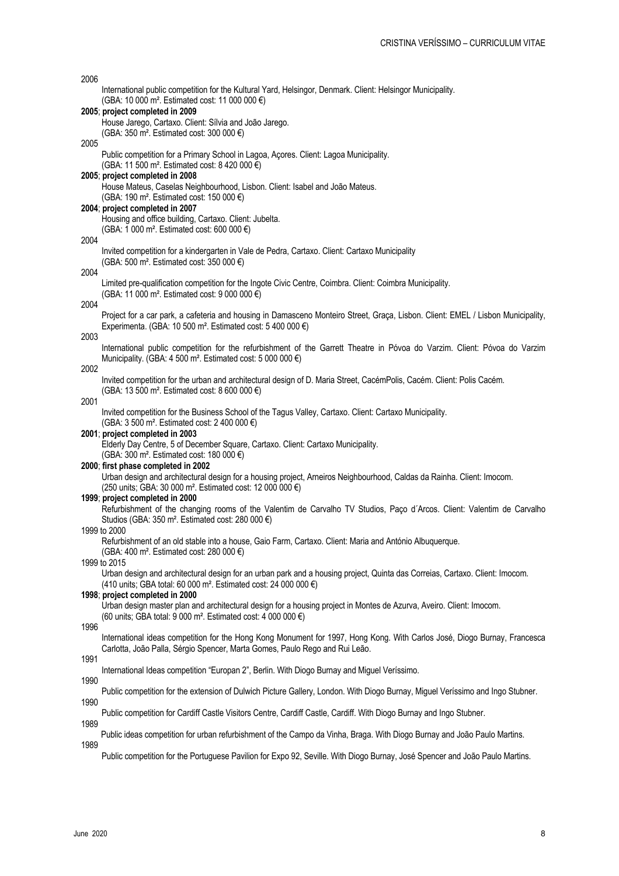| 2006 |                                                                                                                                                                                                              |
|------|--------------------------------------------------------------------------------------------------------------------------------------------------------------------------------------------------------------|
|      | International public competition for the Kultural Yard, Helsingor, Denmark. Client: Helsingor Municipality.<br>(GBA: 10 000 m <sup>2</sup> . Estimated cost: 11 000 000 €)                                   |
|      | 2005; project completed in 2009<br>House Jarego, Cartaxo. Client: Sílvia and João Jarego.                                                                                                                    |
| 2005 | (GBA: 350 m <sup>2</sup> . Estimated cost: 300 000 €)                                                                                                                                                        |
|      | Public competition for a Primary School in Lagoa, Açores. Client: Lagoa Municipality.                                                                                                                        |
|      | (GBA: 11 500 m <sup>2</sup> . Estimated cost: 8 420 000 €)<br>2005; project completed in 2008                                                                                                                |
|      | House Mateus, Caselas Neighbourhood, Lisbon. Client: Isabel and João Mateus.                                                                                                                                 |
|      | (GBA: 190 m <sup>2</sup> . Estimated cost: 150 000 €)                                                                                                                                                        |
|      | 2004; project completed in 2007<br>Housing and office building, Cartaxo. Client: Jubelta.                                                                                                                    |
|      | (GBA: 1 000 m <sup>2</sup> . Estimated cost: 600 000 €)                                                                                                                                                      |
| 2004 |                                                                                                                                                                                                              |
|      | Invited competition for a kindergarten in Vale de Pedra, Cartaxo. Client: Cartaxo Municipality<br>(GBA: 500 m <sup>2</sup> . Estimated cost: 350 000 $\epsilon$ )                                            |
| 2004 |                                                                                                                                                                                                              |
|      | Limited pre-qualification competition for the Ingote Civic Centre, Coimbra. Client: Coimbra Municipality.<br>(GBA: 11 000 m <sup>2</sup> . Estimated cost: 9 000 000 €)                                      |
| 2004 |                                                                                                                                                                                                              |
|      | Project for a car park, a cafeteria and housing in Damasceno Monteiro Street, Graça, Lisbon. Client: EMEL / Lisbon Municipality,                                                                             |
| 2003 | Experimenta. (GBA: 10 500 m <sup>2</sup> . Estimated cost: 5 400 000 $\epsilon$ )                                                                                                                            |
|      | International public competition for the refurbishment of the Garrett Theatre in Póvoa do Varzim. Client: Póvoa do Varzim                                                                                    |
|      | Municipality. (GBA: 4 500 m <sup>2</sup> . Estimated cost: 5 000 000 $\epsilon$ )                                                                                                                            |
| 2002 | Invited competition for the urban and architectural design of D. Maria Street, CacémPolis, Cacém. Client: Polis Cacém.                                                                                       |
|      | (GBA: 13 500 m <sup>2</sup> . Estimated cost: 8 600 000 €)                                                                                                                                                   |
| 2001 |                                                                                                                                                                                                              |
|      | Invited competition for the Business School of the Tagus Valley, Cartaxo. Client: Cartaxo Municipality.<br>(GBA: 3 500 m <sup>2</sup> . Estimated cost: 2 400 000 €)                                         |
|      | 2001; project completed in 2003                                                                                                                                                                              |
|      | Elderly Day Centre, 5 of December Square, Cartaxo. Client: Cartaxo Municipality.<br>(GBA: 300 m <sup>2</sup> . Estimated cost: 180 000 €)                                                                    |
|      | 2000; first phase completed in 2002                                                                                                                                                                          |
|      | Urban design and architectural design for a housing project, Arneiros Neighbourhood, Caldas da Rainha. Client: Imocom.                                                                                       |
|      | (250 units; GBA: 30 000 m <sup>2</sup> . Estimated cost: 12 000 000 €)<br>1999; project completed in 2000                                                                                                    |
|      | Refurbishment of the changing rooms of the Valentim de Carvalho TV Studios, Paço d'Arcos. Client: Valentim de Carvalho                                                                                       |
|      | Studios (GBA: 350 m <sup>2</sup> . Estimated cost: 280 000 €)                                                                                                                                                |
|      | 1999 to 2000<br>Refurbishment of an old stable into a house, Gaio Farm, Cartaxo. Client: Maria and António Albuquerque.                                                                                      |
|      | (GBA: 400 m <sup>2</sup> . Estimated cost: 280 000 €)                                                                                                                                                        |
|      | 1999 to 2015                                                                                                                                                                                                 |
|      | Urban design and architectural design for an urban park and a housing project, Quinta das Correias, Cartaxo. Client: Imocom.<br>(410 units; GBA total: 60 000 m <sup>2</sup> . Estimated cost: 24 000 000 €) |
|      | 1998; project completed in 2000                                                                                                                                                                              |
|      | Urban design master plan and architectural design for a housing project in Montes de Azurva, Aveiro. Client: Imocom.<br>(60 units; GBA total: 9 000 m <sup>2</sup> . Estimated cost: 4 000 000 €)            |
| 1996 |                                                                                                                                                                                                              |
|      | International ideas competition for the Hong Kong Monument for 1997, Hong Kong. With Carlos José, Diogo Burnay, Francesca                                                                                    |
| 1991 | Carlotta, João Palla, Sérgio Spencer, Marta Gomes, Paulo Rego and Rui Leão.                                                                                                                                  |
|      | International Ideas competition "Europan 2", Berlin. With Diogo Burnay and Miguel Veríssimo.                                                                                                                 |
| 1990 |                                                                                                                                                                                                              |
| 1990 | Public competition for the extension of Dulwich Picture Gallery, London. With Diogo Burnay, Miguel Veríssimo and Ingo Stubner.                                                                               |
|      | Public competition for Cardiff Castle Visitors Centre, Cardiff Castle, Cardiff. With Diogo Burnay and Ingo Stubner.                                                                                          |
| 1989 | Public ideas competition for urban refurbishment of the Campo da Vinha, Braga. With Diogo Burnay and João Paulo Martins.                                                                                     |
| 1989 |                                                                                                                                                                                                              |
|      | dian for Fund 00, On dia, Milk Diana Dungay                                                                                                                                                                  |

Public competition for the Portuguese Pavilion for Expo 92, Seville. With Diogo Burnay, José Spencer and João Paulo Martins.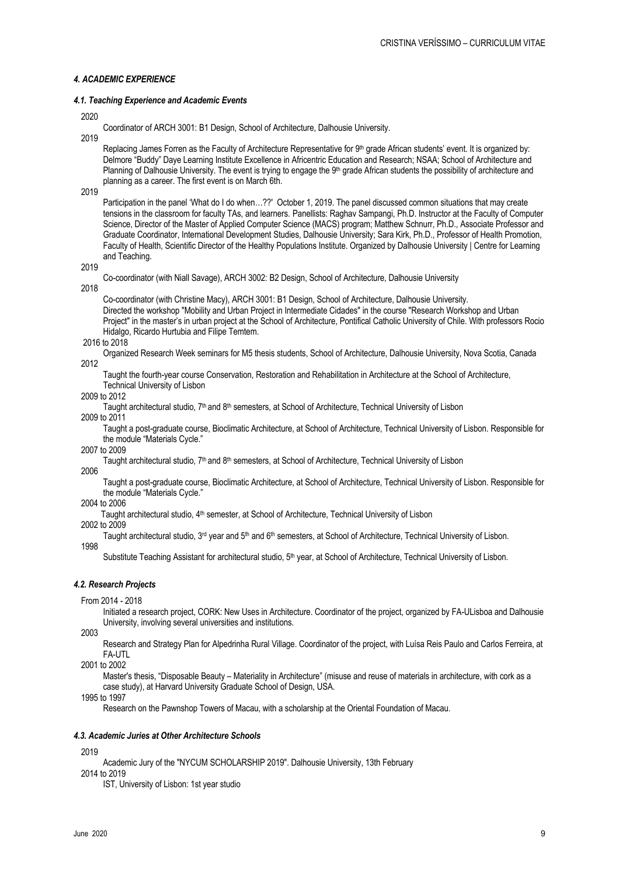# *4. ACADEMIC EXPERIENCE*

## *4.1. Teaching Experience and Academic Events*

2020

Coordinator of ARCH 3001: B1 Design, School of Architecture, Dalhousie University.

2019

Replacing James Forren as the Faculty of Architecture Representative for 9th grade African students' event. It is organized by: Delmore "Buddy" Daye Learning Institute Excellence in Africentric Education and Research; NSAA; School of Architecture and Planning of Dalhousie University. The event is trying to engage the 9<sup>th</sup> grade African students the possibility of architecture and planning as a career. The first event is on March 6th.

2010

Participation in the panel 'What do I do when…??' October 1, 2019. The panel discussed common situations that may create tensions in the classroom for faculty TAs, and learners. Panellists: Raghav Sampangi, Ph.D. Instructor at the Faculty of Computer Science, Director of the Master of Applied Computer Science (MACS) program; Matthew Schnurr, Ph.D., Associate Professor and Graduate Coordinator, International Development Studies, Dalhousie University; Sara Kirk, Ph.D., Professor of Health Promotion, Faculty of Health, Scientific Director of the Healthy Populations Institute. Organized by Dalhousie University | Centre for Learning and Teaching.

2019

Co-coordinator (with Niall Savage), ARCH 3002: B2 Design, School of Architecture, Dalhousie University

2018

Co-coordinator (with Christine Macy), ARCH 3001: B1 Design, School of Architecture, Dalhousie University. Directed the workshop "Mobility and Urban Project in Intermediate Cidades" in the course "Research Workshop and Urban Project" in the master's in urban project at the School of Architecture, Pontifical Catholic University of Chile. With professors Rocio Hidalgo, Ricardo Hurtubia and Filipe Temtem.

2016 to 2018

Organized Research Week seminars for M5 thesis students, School of Architecture, Dalhousie University, Nova Scotia, Canada 2012

Taught the fourth-year course Conservation, Restoration and Rehabilitation in Architecture at the School of Architecture, Technical University of Lisbon

2009 to 2012

Taught architectural studio, 7<sup>th</sup> and 8<sup>th</sup> semesters, at School of Architecture, Technical University of Lisbon

2009 to 2011

Taught a post-graduate course, Bioclimatic Architecture, at School of Architecture, Technical University of Lisbon. Responsible for the module "Materials Cycle."

2007 to 2009

Taught architectural studio, 7<sup>th</sup> and 8<sup>th</sup> semesters, at School of Architecture, Technical University of Lisbon 2006

Taught a post-graduate course, Bioclimatic Architecture, at School of Architecture, Technical University of Lisbon. Responsible for the module "Materials Cycle."

2004 to 2006

Taught architectural studio, 4<sup>th</sup> semester, at School of Architecture, Technical University of Lisbon

2002 to 2009

Taught architectural studio,  $3^{rd}$  year and  $5^{th}$  and  $6^{th}$  semesters, at School of Architecture, Technical University of Lisbon. 1998

Substitute Teaching Assistant for architectural studio, 5<sup>th</sup> year, at School of Architecture, Technical University of Lisbon.

# *4.2. Research Projects*

#### From 2014 - 2018

Initiated a research project, CORK: New Uses in Architecture. Coordinator of the project, organized by FA-ULisboa and Dalhousie University, involving several universities and institutions.

2003

Research and Strategy Plan for Alpedrinha Rural Village. Coordinator of the project, with Luísa Reis Paulo and Carlos Ferreira, at FA-UTL

2001 to 2002

Master's thesis, "Disposable Beauty – Materiality in Architecture" (misuse and reuse of materials in architecture, with cork as a case study), at Harvard University Graduate School of Design, USA.

1995 to 1997

Research on the Pawnshop Towers of Macau, with a scholarship at the Oriental Foundation of Macau.

## *4.3. Academic Juries at Other Architecture Schools*

2019

Academic Jury of the "NYCUM SCHOLARSHIP 2019". Dalhousie University, 13th February 2014 to 2019

IST, University of Lisbon: 1st year studio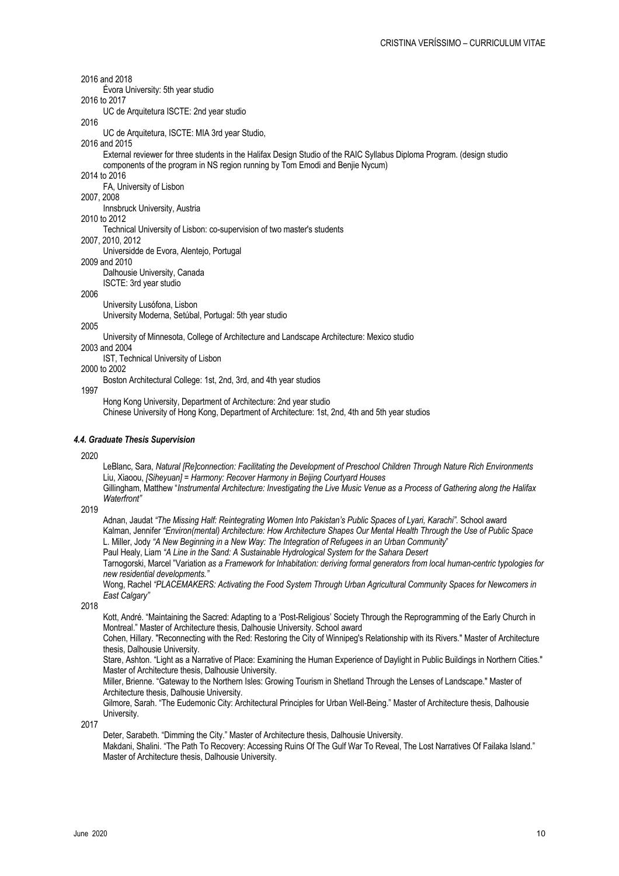2016 and 2018

Évora University: 5th year studio 2016 to 2017

UC de Arquitetura ISCTE: 2nd year studio

2016

UC de Arquitetura, ISCTE: MIA 3rd year Studio,

2016 and 2015

External reviewer for three students in the Halifax Design Studio of the RAIC Syllabus Diploma Program. (design studio components of the program in NS region running by Tom Emodi and Benjie Nycum)

2014 to 2016

FA, University of Lisbon

2007, 2008

Innsbruck University, Austria

2010 to 2012

Technical University of Lisbon: co-supervision of two master's students

2007, 2010, 2012

Universidde de Evora, Alentejo, Portugal

2009 and 2010

Dalhousie University, Canada ISCTE: 3rd year studio

2006

University Lusófona, Lisbon

University Moderna, Setúbal, Portugal: 5th year studio

# 2005

University of Minnesota, College of Architecture and Landscape Architecture: Mexico studio

2003 and 2004 IST, Technical University of Lisbon

2000 to 2002

Boston Architectural College: 1st, 2nd, 3rd, and 4th year studios

1997

Hong Kong University, Department of Architecture: 2nd year studio

Chinese University of Hong Kong, Department of Architecture: 1st, 2nd, 4th and 5th year studios

# *4.4. Graduate Thesis Supervision*

2020

LeBlanc, Sara, *Natural [Re]connection: Facilitating the Development of Preschool Children Through Nature Rich Environments* Liu, Xiaoou, *[Siheyuan] = Harmony: Recover Harmony in Beijing Courtyard Houses*

Gillingham, Matthew "*Instrumental Architecture: Investigating the Live Music Venue as a Process of Gathering along the Halifax Waterfront"*

# 2019

Adnan, Jaudat *"The Missing Half: Reintegrating Women Into Pakistan's Public Spaces of Lyari, Karachi".* School award Kalman, Jennifer *"Environ(mental) Architecture: How Architecture Shapes Our Mental Health Through the Use of Public Space* L. Miller, Jody *"A New Beginning in a New Way: The Integration of Refugees in an Urban Community*" Paul Healy, Liam *"A Line in the Sand: A Sustainable Hydrological System for the Sahara Desert*

Tarnogorski, Marcel "Variation *as a Framework for Inhabitation: deriving formal generators from local human-centric typologies for new residential developments."*

Wong, Rachel *"PLACEMAKERS: Activating the Food System Through Urban Agricultural Community Spaces for Newcomers in East Calgary"*

2018

Kott, André. "Maintaining the Sacred: Adapting to a 'Post-Religious' Society Through the Reprogramming of the Early Church in Montreal." Master of Architecture thesis, Dalhousie University. School award

Cohen, Hillary. "Reconnecting with the Red: Restoring the City of Winnipeg's Relationship with its Rivers." Master of Architecture thesis, Dalhousie University.

Stare, Ashton. "Light as a Narrative of Place: Examining the Human Experience of Daylight in Public Buildings in Northern Cities." Master of Architecture thesis, Dalhousie University.

Miller, Brienne. "Gateway to the Northern Isles: Growing Tourism in Shetland Through the Lenses of Landscape." Master of Architecture thesis, Dalhousie University.

Gilmore, Sarah. "The Eudemonic City: Architectural Principles for Urban Well-Being." Master of Architecture thesis, Dalhousie University.

2017

Deter, Sarabeth. "Dimming the City." Master of Architecture thesis, Dalhousie University.

Makdani, Shalini. "The Path To Recovery: Accessing Ruins Of The Gulf War To Reveal, The Lost Narratives Of Failaka Island." Master of Architecture thesis, Dalhousie University.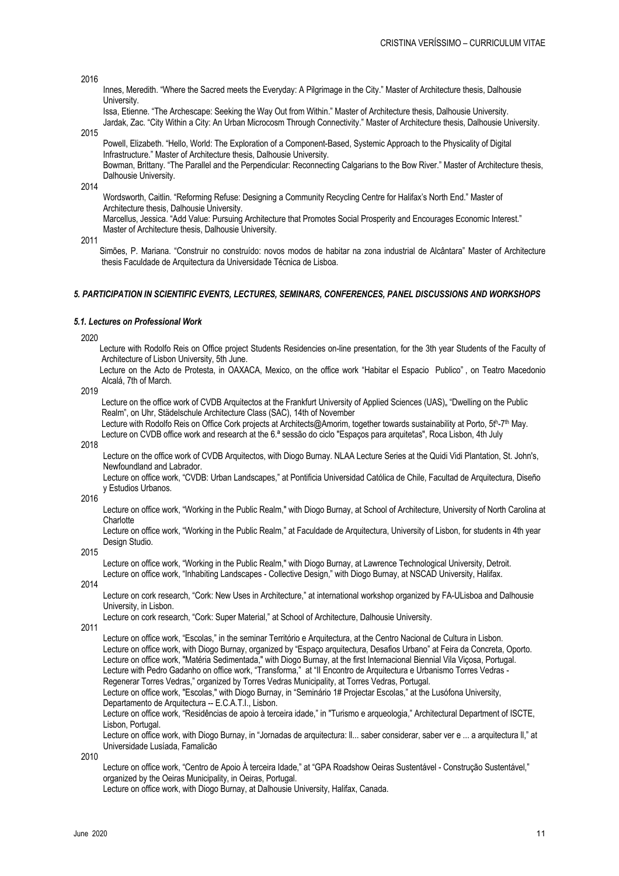2016

Innes, Meredith. "Where the Sacred meets the Everyday: A Pilgrimage in the City." Master of Architecture thesis, Dalhousie University.

Issa, Etienne. "The Archescape: Seeking the Way Out from Within." Master of Architecture thesis, Dalhousie University. Jardak, Zac. "City Within a City: An Urban Microcosm Through Connectivity." Master of Architecture thesis, Dalhousie University.

2015

Powell, Elizabeth. "Hello, World: The Exploration of a Component-Based, Systemic Approach to the Physicality of Digital Infrastructure." Master of Architecture thesis, Dalhousie University.

Bowman, Brittany. "The Parallel and the Perpendicular: Reconnecting Calgarians to the Bow River." Master of Architecture thesis, Dalhousie University.

2014

Wordsworth, Caitlin. "Reforming Refuse: Designing a Community Recycling Centre for Halifax's North End." Master of Architecture thesis, Dalhousie University.

Marcellus, Jessica. "Add Value: Pursuing Architecture that Promotes Social Prosperity and Encourages Economic Interest." Master of Architecture thesis, Dalhousie University.

2011

Simões, P. Mariana. "Construir no construído: novos modos de habitar na zona industrial de Alcântara" Master of Architecture thesis Faculdade de Arquitectura da Universidade Técnica de Lisboa.

# *5. PARTICIPATION IN SCIENTIFIC EVENTS, LECTURES, SEMINARS, CONFERENCES, PANEL DISCUSSIONS AND WORKSHOPS*

## *5.1. Lectures on Professional Work*

2020

Lecture with Rodolfo Reis on Office project Students Residencies on-line presentation, for the 3th year Students of the Faculty of Architecture of Lisbon University, 5th June.

Lecture on the Acto de Protesta, in OAXACA, Mexico, on the office work "Habitar el Espacio Publico" , on Teatro Macedonio Alcalá, 7th of March.

2019

Lecture on the office work of CVDB Arquitectos at the Frankfurt University of Applied Sciences (UAS), "Dwelling on the Public Realm", on Uhr, Städelschule Architecture Class (SAC), 14th of November

Lecture with Rodolfo Reis on Office Cork projects at Architects@Amorim, together towards sustainability at Porto, 5th-7th May. Lecture on CVDB office work and research at the 6.ª sessão do ciclo "Espaços para arquitetas", Roca Lisbon, 4th July

2018

Lecture on the office work of CVDB Arquitectos, with Diogo Burnay. NLAA Lecture Series at the Quidi Vidi Plantation, St. John's, Newfoundland and Labrador.

Lecture on office work, "CVDB: Urban Landscapes," at Pontificia Universidad Católica de Chile, Facultad de Arquitectura, Diseño y Estudios Urbanos.

2016

Lecture on office work, "Working in the Public Realm," with Diogo Burnay, at School of Architecture, University of North Carolina at **Charlotte** 

Lecture on office work, "Working in the Public Realm," at Faculdade de Arquitectura, University of Lisbon, for students in 4th year Design Studio.

2015

Lecture on office work, "Working in the Public Realm," with Diogo Burnay, at Lawrence Technological University, Detroit. Lecture on office work, "Inhabiting Landscapes - Collective Design," with Diogo Burnay, at NSCAD University, Halifax.

2014

Lecture on cork research, "Cork: New Uses in Architecture," at international workshop organized by FA-ULisboa and Dalhousie University, in Lisbon.

Lecture on cork research, "Cork: Super Material," at School of Architecture, Dalhousie University.

2011

Lecture on office work, "Escolas," in the seminar Território e Arquitectura, at the Centro Nacional de Cultura in Lisbon. Lecture on office work, with Diogo Burnay, organized by "Espaço arquitectura, Desafios Urbano" at Feira da Concreta, Oporto. Lecture on office work, "Matéria Sedimentada," with Diogo Burnay, at the first Internacional Biennial Vila Viçosa, Portugal. Lecture with Pedro Gadanho on office work, "Transforma," at "II Encontro de Arquitectura e Urbanismo Torres Vedras - Regenerar Torres Vedras," organized by Torres Vedras Municipality, at Torres Vedras, Portugal. Lecture on office work, "Escolas," with Diogo Burnay, in "Seminário 1# Projectar Escolas," at the Lusófona University,

Departamento de Arquitectura -- E.C.A.T.I., Lisbon.

Lecture on office work, "Residências de apoio à terceira idade," in "Turismo e arqueologia," Architectural Department of ISCTE, Lisbon, Portugal.

Lecture on office work, with Diogo Burnay, in "Jornadas de arquitectura: ll... saber considerar, saber ver e ... a arquitectura ll," at Universidade Lusíada, Famalicão

2010

Lecture on office work, "Centro de Apoio À terceira Idade," at "GPA Roadshow Oeiras Sustentável - Construção Sustentável," organized by the Oeiras Municipality, in Oeiras, Portugal.

Lecture on office work, with Diogo Burnay, at Dalhousie University, Halifax, Canada.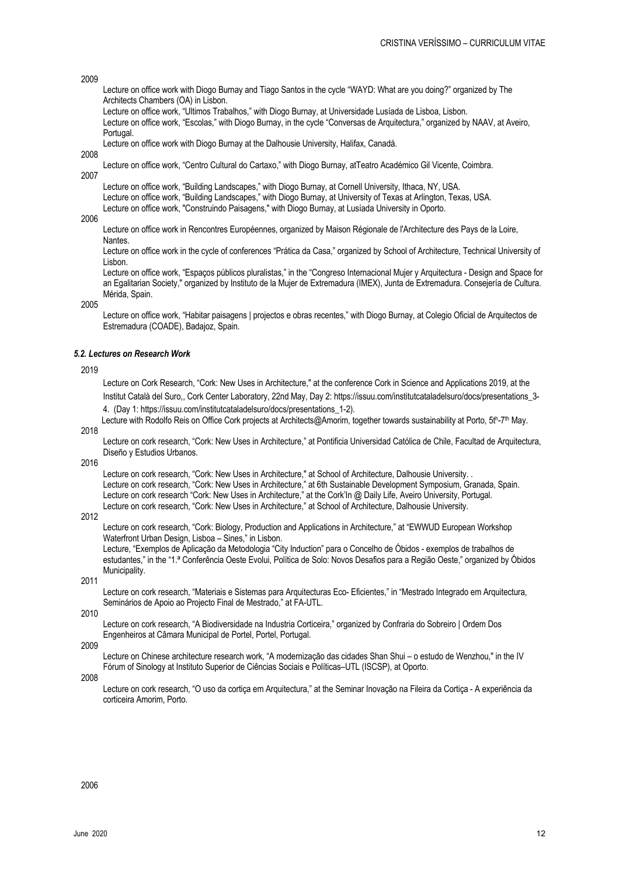# 2009

- Lecture on office work with Diogo Burnay and Tiago Santos in the cycle "WAYD: What are you doing?" organized by The Architects Chambers (OA) in Lisbon.
- Lecture on office work, "Ultimos Trabalhos," with Diogo Burnay, at Universidade Lusíada de Lisboa, Lisbon.

Lecture on office work, "Escolas," with Diogo Burnay, in the cycle "Conversas de Arquitectura," organized by NAAV, at Aveiro, Portugal.

Lecture on office work with Diogo Burnay at the Dalhousie University, Halifax, Canadá.

2008

- Lecture on office work, "Centro Cultural do Cartaxo," with Diogo Burnay, atTeatro Académico Gil Vicente, Coimbra.
- 2007

Lecture on office work, "Building Landscapes," with Diogo Burnay, at Cornell University, Ithaca, NY, USA. Lecture on office work, "Building Landscapes," with Diogo Burnay, at University of Texas at Arlington, Texas, USA.

Lecture on office work, "Construindo Paisagens," with Diogo Burnay, at Lusíada University in Oporto.

2006

Lecture on office work in Rencontres Européennes, organized by Maison Régionale de l'Architecture des Pays de la Loire, **Nantes** 

Lecture on office work in the cycle of conferences "Prática da Casa," organized by School of Architecture, Technical University of Lisbon.

Lecture on office work, "Espaços públicos pluralistas," in the "Congreso Internacional Mujer y Arquitectura - Design and Space for an Egalitarian Society," organized by Instituto de la Mujer de Extremadura (IMEX), Junta de Extremadura. Consejería de Cultura. Mérida, Spain.

2005

Lecture on office work, "Habitar paisagens | projectos e obras recentes," with Diogo Burnay, at Colegio Oficial de Arquitectos de Estremadura (COADE), Badajoz, Spain.

## *5.2. Lectures on Research Work*

#### 2019

Lecture on Cork Research, "Cork: New Uses in Architecture," at the conference Cork in Science and Applications 2019, at the Institut Català del Suro,, Cork Center Laboratory, 22nd May, Day 2: https://issuu.com/institutcataladelsuro/docs/presentations\_3-

4. (Day 1: https://issuu.com/institutcataladelsuro/docs/presentations\_1-2).

Lecture with Rodolfo Reis on Office Cork projects at Architects@Amorim, together towards sustainability at Porto, 5th-7th May.

2018

Lecture on cork research, "Cork: New Uses in Architecture," at Pontificia Universidad Católica de Chile, Facultad de Arquitectura, Diseño y Estudios Urbanos.

2016

Lecture on cork research, "Cork: New Uses in Architecture," at School of Architecture, Dalhousie University. . Lecture on cork research, "Cork: New Uses in Architecture," at 6th Sustainable Development Symposium, Granada, Spain. Lecture on cork research "Cork: New Uses in Architecture," at the Cork'In @ Daily Life, Aveiro University, Portugal. Lecture on cork research, "Cork: New Uses in Architecture," at School of Architecture, Dalhousie University.

# 2012

Lecture on cork research, "Cork: Biology, Production and Applications in Architecture," at "EWWUD European Workshop Waterfront Urban Design, Lisboa – Sines," in Lisbon.

Lecture, "Exemplos de Aplicação da Metodologia "City Induction" para o Concelho de Óbidos - exemplos de trabalhos de estudantes," in the "1.ª Conferência Oeste Evolui, Política de Solo: Novos Desafios para a Região Oeste," organized by Óbidos Municipality.

2011

Lecture on cork research, "Materiais e Sistemas para Arquitecturas Eco- Eficientes," in "Mestrado Integrado em Arquitectura, Seminários de Apoio ao Projecto Final de Mestrado," at FA-UTL.

2010

Lecture on cork research, "A Biodiversidade na Industria Corticeira," organized by Confraria do Sobreiro | Ordem Dos Engenheiros at Câmara Municipal de Portel, Portel, Portugal.

2009

Lecture on Chinese architecture research work, "A modernização das cidades Shan Shui – o estudo de Wenzhou," in the IV Fórum of Sinology at Instituto Superior de Ciências Sociais e Políticas–UTL (ISCSP), at Oporto.

2008

Lecture on cork research, "O uso da cortiça em Arquitectura," at the Seminar Inovação na Fileira da Cortiça - A experiência da corticeira Amorim, Porto.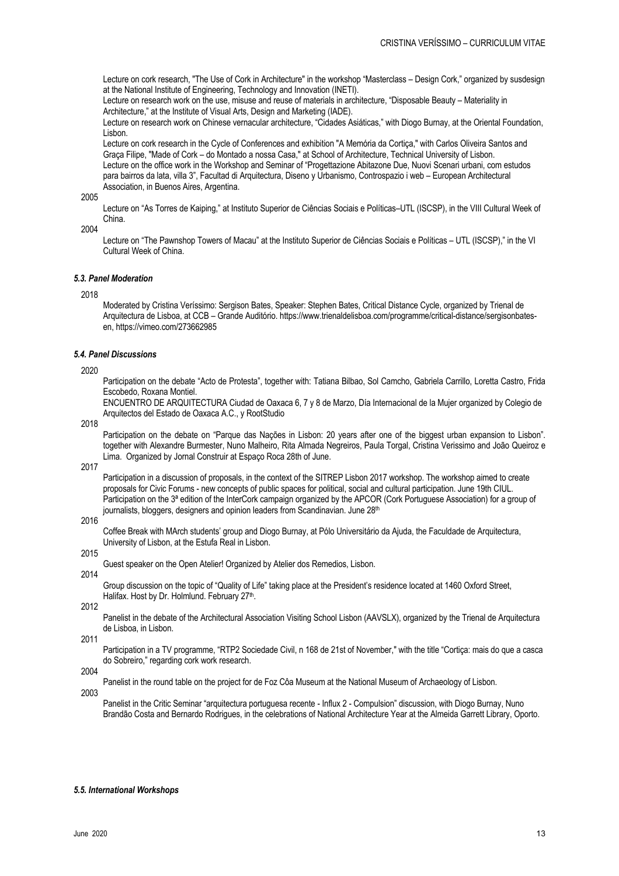Lecture on cork research, "The Use of Cork in Architecture" in the workshop "Masterclass – Design Cork," organized by susdesign at the National Institute of Engineering, Technology and Innovation (INETI).

Lecture on research work on the use, misuse and reuse of materials in architecture, "Disposable Beauty – Materiality in Architecture," at the Institute of Visual Arts, Design and Marketing (IADE).

Lecture on research work on Chinese vernacular architecture, "Cidades Asiáticas," with Diogo Burnay, at the Oriental Foundation, Lisbon.

Lecture on cork research in the Cycle of Conferences and exhibition "A Memória da Cortiça," with Carlos Oliveira Santos and Graça Filipe, "Made of Cork – do Montado a nossa Casa," at School of Architecture, Technical University of Lisbon. Lecture on the office work in the Workshop and Seminar of "Progettazione Abitazone Due, Nuovi Scenari urbani, com estudos para bairros da lata, villa 3", Facultad di Arquitectura, Diseno y Urbanismo, Controspazio i web – European Architectural Association, in Buenos Aires, Argentina.

2005

Lecture on "As Torres de Kaiping," at Instituto Superior de Ciências Sociais e Políticas–UTL (ISCSP), in the VIII Cultural Week of China.

2004

Lecture on "The Pawnshop Towers of Macau" at the Instituto Superior de Ciências Sociais e Políticas – UTL (ISCSP)," in the VI Cultural Week of China.

# *5.3. Panel Moderation*

# 2018

Moderated by Cristina Veríssimo: Sergison Bates, Speaker: Stephen Bates, Critical Distance Cycle, organized by Trienal de Arquitectura de Lisboa, at CCB – Grande Auditório. https://www.trienaldelisboa.com/programme/critical-distance/sergisonbatesen, https://vimeo.com/273662985

# *5.4. Panel Discussions*

2020

Participation on the debate "Acto de Protesta", together with: Tatiana Bilbao, Sol Camcho, Gabriela Carrillo, Loretta Castro, Frida Escobedo, Roxana Montiel.

ENCUENTRO DE ARQUITECTURA Ciudad de Oaxaca 6, 7 y 8 de Marzo, Día Internacional de la Mujer organized by Colegio de Arquitectos del Estado de Oaxaca A.C., y RootStudio

2018

Participation on the debate on "Parque das Nações in Lisbon: 20 years after one of the biggest urban expansion to Lisbon". together with Alexandre Burmester, Nuno Malheiro, Rita Almada Negreiros, Paula Torgal, Cristina Verissimo and João Queiroz e Lima. Organized by Jornal Construir at Espaço Roca 28th of June.

2017

Participation in a discussion of proposals, in the context of the SITREP Lisbon 2017 workshop. The workshop aimed to create proposals for Civic Forums - new concepts of public spaces for political, social and cultural participation. June 19th CIUL. Participation on the 3ª edition of the InterCork campaign organized by the APCOR (Cork Portuguese Association) for a group of journalists, bloggers, designers and opinion leaders from Scandinavian. June 28th

2016

Coffee Break with MArch students' group and Diogo Burnay, at Pólo Universitário da Ajuda, the Faculdade de Arquitectura, University of Lisbon, at the Estufa Real in Lisbon.

2015 2014

Guest speaker on the Open Atelier! Organized by Atelier dos Remedios, Lisbon.

Group discussion on the topic of "Quality of Life" taking place at the President's residence located at 1460 Oxford Street, Halifax. Host by Dr. Holmlund. February 27th.

2012

Panelist in the debate of the Architectural Association Visiting School Lisbon (AAVSLX), organized by the Trienal de Arquitectura de Lisboa, in Lisbon.

2011

Participation in a TV programme, "RTP2 Sociedade Civil, n 168 de 21st of November," with the title "Cortiça: mais do que a casca do Sobreiro," regarding cork work research.

2004

Panelist in the round table on the project for de Foz Côa Museum at the National Museum of Archaeology of Lisbon.

2003

Panelist in the Critic Seminar "arquitectura portuguesa recente - Influx 2 - Compulsion" discussion, with Diogo Burnay, Nuno Brandão Costa and Bernardo Rodrigues, in the celebrations of National Architecture Year at the Almeida Garrett Library, Oporto.

#### *5.5. International Workshops*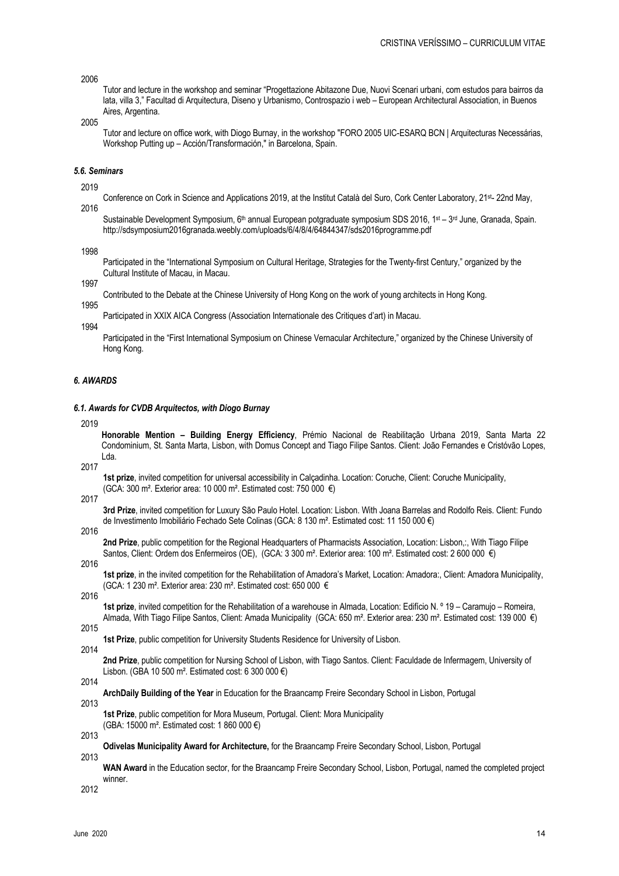# 2006

Tutor and lecture in the workshop and seminar "Progettazione Abitazone Due, Nuovi Scenari urbani, com estudos para bairros da lata, villa 3," Facultad di Arquitectura, Diseno y Urbanismo, Controspazio i web – European Architectural Association, in Buenos Aires, Argentina.

2005

Tutor and lecture on office work, with Diogo Burnay, in the workshop "FORO 2005 UIC-ESARQ BCN | Arquitecturas Necessárias, Workshop Putting up – Acción/Transformación," in Barcelona, Spain.

#### *5.6. Seminars*

2019

Conference on Cork in Science and Applications 2019, at the Institut Català del Suro, Cork Center Laboratory, 21st- 22nd May, 2016

Sustainable Development Symposium, 6<sup>th</sup> annual European potgraduate symposium SDS 2016, 1<sup>st</sup> – 3<sup>rd</sup> June, Granada, Spain. http://sdsymposium2016granada.weebly.com/uploads/6/4/8/4/64844347/sds2016programme.pdf

1998

Participated in the "International Symposium on Cultural Heritage, Strategies for the Twenty-first Century," organized by the Cultural Institute of Macau, in Macau.

1997

Contributed to the Debate at the Chinese University of Hong Kong on the work of young architects in Hong Kong.

1995

Participated in XXIX AICA Congress (Association Internationale des Critiques d'art) in Macau.

1994

Participated in the "First International Symposium on Chinese Vernacular Architecture," organized by the Chinese University of Hong Kong.

# *6. AWARDS*

## *6.1. Awards for CVDB Arquitectos, with Diogo Burnay*

2019

**Honorable Mention – Building Energy Efficiency**, Prémio Nacional de Reabilitação Urbana 2019, Santa Marta 22 Condominium, St. Santa Marta, Lisbon, with Domus Concept and Tiago Filipe Santos. Client: João Fernandes e Cristóvão Lopes, Lda.

2017

**1st prize**, invited competition for universal accessibility in Calçadinha. Location: Coruche, Client: Coruche Municipality, (GCA: 300 m². Exterior area: 10 000 m². Estimated cost: 750 000 €)

2017

**3rd Prize**, invited competition for Luxury São Paulo Hotel. Location: Lisbon. With Joana Barrelas and Rodolfo Reis. Client: Fundo de Investimento Imobiliário Fechado Sete Colinas (GCA: 8 130 m². Estimated cost: 11 150 000 €)

2016

**2nd Prize**, public competition for the Regional Headquarters of Pharmacists Association, Location: Lisbon,:, With Tiago Filipe Santos, Client: Ordem dos Enfermeiros (OE), (GCA: 3 300 m<sup>2</sup>. Exterior area: 100 m<sup>2</sup>. Estimated cost: 2 600 000 €)

2016

**1st prize**, in the invited competition for the Rehabilitation of Amadora's Market, Location: Amadora:, Client: Amadora Municipality, (GCA: 1 230 m². Exterior area: 230 m². Estimated cost: 650 000 €

2016

**1st prize**, invited competition for the Rehabilitation of a warehouse in Almada, Location: Edifício N. º 19 – Caramujo – Romeira, Almada, With Tiago Filipe Santos, Client: Amada Municipality (GCA: 650 m². Exterior area: 230 m². Estimated cost: 139 000 €)

- 2015
- **1st Prize**, public competition for University Students Residence for University of Lisbon. 2014

**2nd Prize**, public competition for Nursing School of Lisbon, with Tiago Santos. Client: Faculdade de Infermagem, University of Lisbon. (GBA 10 500 m². Estimated cost: 6 300 000 €)

2014

**ArchDaily Building of the Year** in Education for the Braancamp Freire Secondary School in Lisbon, Portugal

2013

**1st Prize**, public competition for Mora Museum, Portugal. Client: Mora Municipality (GBA: 15000 m². Estimated cost: 1 860 000 €)

2013

**Odivelas Municipality Award for Architecture,** for the Braancamp Freire Secondary School, Lisbon, Portugal 2013

**WAN Award** in the Education sector, for the Braancamp Freire Secondary School, Lisbon, Portugal, named the completed project winner.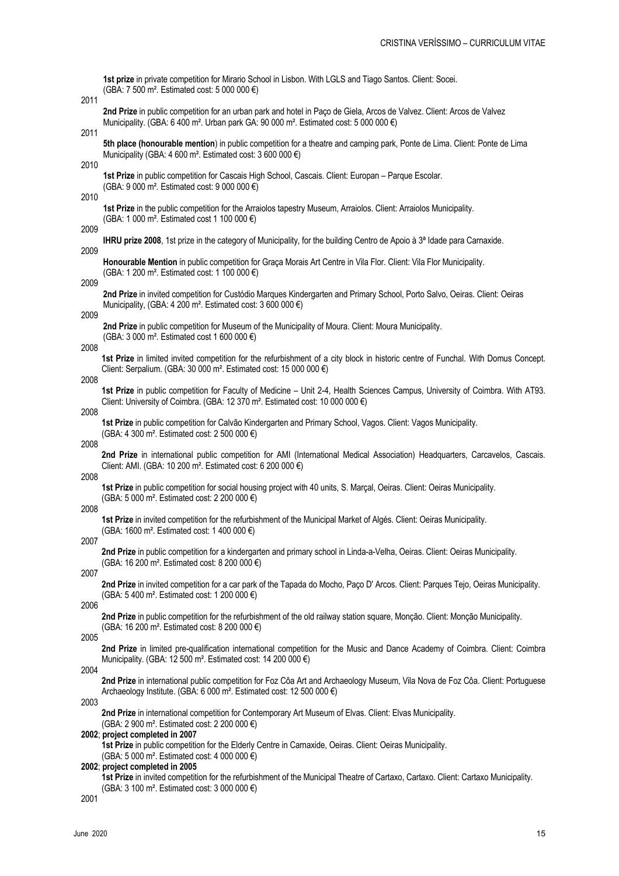**1st prize** in private competition for Mirario School in Lisbon. With LGLS and Tiago Santos. Client: Socei. (GBA: 7 500 m². Estimated cost: 5 000 000 €)

2011

**2nd Prize** in public competition for an urban park and hotel in Paço de Giela, Arcos de Valvez. Client: Arcos de Valvez Municipality. (GBA: 6 400 m². Urban park GA: 90 000 m². Estimated cost: 5 000 000 €)

2011

**5th place (honourable mention**) in public competition for a theatre and camping park, Ponte de Lima. Client: Ponte de Lima Municipality (GBA: 4 600 m². Estimated cost: 3 600 000 €)

2010

**1st Prize** in public competition for Cascais High School, Cascais. Client: Europan – Parque Escolar. (GBA: 9 000 m². Estimated cost: 9 000 000 €)

2010

**1st Prize** in the public competition for the Arraiolos tapestry Museum, Arraiolos. Client: Arraiolos Municipality. (GBA: 1 000 m². Estimated cost 1 100 000 €)

2009 2009

**IHRU prize 2008**, 1st prize in the category of Municipality, for the building Centro de Apoio à 3ª Idade para Carnaxide.

**Honourable Mention** in public competition for Graça Morais Art Centre in Vila Flor. Client: Vila Flor Municipality. (GBA: 1 200 m². Estimated cost: 1 100 000 €)

2009

**2nd Prize** in invited competition for Custódio Marques Kindergarten and Primary School, Porto Salvo, Oeiras. Client: Oeiras Municipality, (GBA: 4 200 m². Estimated cost: 3 600 000 €)

2009

**2nd Prize** in public competition for Museum of the Municipality of Moura. Client: Moura Municipality. (GBA: 3 000 m². Estimated cost 1 600 000 €)

2008

**1st Prize** in limited invited competition for the refurbishment of a city block in historic centre of Funchal. With Domus Concept. Client: Serpalium. (GBA: 30 000 m². Estimated cost: 15 000 000 €)

2008

**1st Prize** in public competition for Faculty of Medicine – Unit 2-4, Health Sciences Campus, University of Coimbra. With AT93. Client: University of Coimbra. (GBA: 12 370 m². Estimated cost: 10 000 000 €)

2008

**1st Prize** in public competition for Calvão Kindergarten and Primary School, Vagos. Client: Vagos Municipality. (GBA: 4 300 m². Estimated cost: 2 500 000 €)

2008

**2nd Prize** in international public competition for AMI (International Medical Association) Headquarters, Carcavelos, Cascais. Client: AMI. (GBA: 10 200 m². Estimated cost: 6 200 000 €)

2008

**1st Prize** in public competition for social housing project with 40 units, S. Marçal, Oeiras. Client: Oeiras Municipality. (GBA: 5 000 m². Estimated cost: 2 200 000 €)

2008

**1st Prize** in invited competition for the refurbishment of the Municipal Market of Algés. Client: Oeiras Municipality. (GBA: 1600 m². Estimated cost: 1 400 000 €)

2007

**2nd Prize** in public competition for a kindergarten and primary school in Linda-a-Velha, Oeiras. Client: Oeiras Municipality. (GBA: 16 200 m². Estimated cost: 8 200 000 €)

2007

**2nd Prize** in invited competition for a car park of the Tapada do Mocho, Paço D' Arcos. Client: Parques Tejo, Oeiras Municipality. (GBA: 5 400 m². Estimated cost: 1 200 000 €)

2006

**2nd Prize** in public competition for the refurbishment of the old railway station square, Monção. Client: Monção Municipality. (GBA: 16 200 m². Estimated cost: 8 200 000 €)

2005

**2nd Prize** in limited pre-qualification international competition for the Music and Dance Academy of Coimbra. Client: Coimbra Municipality. (GBA: 12 500 m². Estimated cost: 14 200 000 €)

2004

**2nd Prize** in international public competition for Foz Côa Art and Archaeology Museum, Vila Nova de Foz Côa. Client: Portuguese Archaeology Institute. (GBA: 6 000 m². Estimated cost: 12 500 000 €)

2003

**2nd Prize** in international competition for Contemporary Art Museum of Elvas. Client: Elvas Municipality. (GBA: 2 900 m². Estimated cost: 2 200 000 €)

#### **2002**; **project completed in 2007**

**1st Prize** in public competition for the Elderly Centre in Carnaxide, Oeiras. Client: Oeiras Municipality. (GBA: 5 000 m². Estimated cost: 4 000 000 €)

#### **2002**; **project completed in 2005**

**1st Prize** in invited competition for the refurbishment of the Municipal Theatre of Cartaxo, Cartaxo. Client: Cartaxo Municipality. (GBA: 3 100 m². Estimated cost: 3 000 000 €)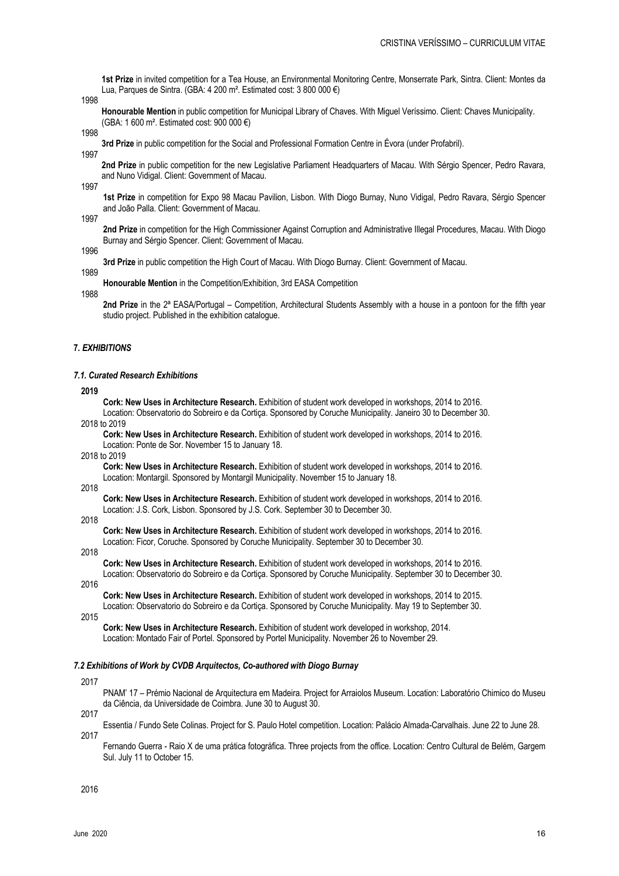**1st Prize** in invited competition for a Tea House, an Environmental Monitoring Centre, Monserrate Park, Sintra. Client: Montes da Lua, Parques de Sintra. (GBA: 4 200 m². Estimated cost: 3 800 000 €)

1998

**Honourable Mention** in public competition for Municipal Library of Chaves. With Miguel Veríssimo. Client: Chaves Municipality. (GBA: 1 600 m². Estimated cost: 900 000 €)

1998

**3rd Prize** in public competition for the Social and Professional Formation Centre in Évora (under Profabril). 1997

**2nd Prize** in public competition for the new Legislative Parliament Headquarters of Macau. With Sérgio Spencer, Pedro Ravara, and Nuno Vidigal. Client: Government of Macau.

1997

**1st Prize** in competition for Expo 98 Macau Pavilion, Lisbon. With Diogo Burnay, Nuno Vidigal, Pedro Ravara, Sérgio Spencer and João Palla. Client: Government of Macau.

1997

**2nd Prize** in competition for the High Commissioner Against Corruption and Administrative Illegal Procedures, Macau. With Diogo Burnay and Sérgio Spencer. Client: Government of Macau.

1996

**3rd Prize** in public competition the High Court of Macau. With Diogo Burnay. Client: Government of Macau.

1989

**Honourable Mention** in the Competition/Exhibition, 3rd EASA Competition

1988

**2nd Prize** in the 2ª EASA/Portugal – Competition, Architectural Students Assembly with a house in a pontoon for the fifth year studio project. Published in the exhibition catalogue.

## **7.** *EXHIBITIONS*

#### *7.1. Curated Research Exhibitions*

**2019**

**Cork: New Uses in Architecture Research.** Exhibition of student work developed in workshops, 2014 to 2016. Location: Observatorio do Sobreiro e da Cortiça. Sponsored by Coruche Municipality. Janeiro 30 to December 30. 2018 to 2019

**Cork: New Uses in Architecture Research.** Exhibition of student work developed in workshops, 2014 to 2016. Location: Ponte de Sor. November 15 to January 18.

2018 to 2019

**Cork: New Uses in Architecture Research.** Exhibition of student work developed in workshops, 2014 to 2016. Location: Montargil. Sponsored by Montargil Municipality. November 15 to January 18.

2018

**Cork: New Uses in Architecture Research.** Exhibition of student work developed in workshops, 2014 to 2016. Location: J.S. Cork, Lisbon. Sponsored by J.S. Cork. September 30 to December 30.

## 2018

**Cork: New Uses in Architecture Research.** Exhibition of student work developed in workshops, 2014 to 2016. Location: Ficor, Coruche. Sponsored by Coruche Municipality. September 30 to December 30.

2018

**Cork: New Uses in Architecture Research.** Exhibition of student work developed in workshops, 2014 to 2016. Location: Observatorio do Sobreiro e da Cortiça. Sponsored by Coruche Municipality. September 30 to December 30.

2016

**Cork: New Uses in Architecture Research.** Exhibition of student work developed in workshops, 2014 to 2015. Location: Observatorio do Sobreiro e da Cortiça. Sponsored by Coruche Municipality. May 19 to September 30.

2015

**Cork: New Uses in Architecture Research.** Exhibition of student work developed in workshop, 2014. Location: Montado Fair of Portel. Sponsored by Portel Municipality. November 26 to November 29.

#### *7.2 Exhibitions of Work by CVDB Arquitectos, Co-authored with Diogo Burnay*

2017

PNAM' 17 – Prémio Nacional de Arquitectura em Madeira. Project for Arraiolos Museum. Location: Laboratório Chimico do Museu da Ciência, da Universidade de Coimbra. June 30 to August 30.

2017

Essentia / Fundo Sete Colinas. Project for S. Paulo Hotel competition. Location: Palácio Almada-Carvalhais. June 22 to June 28.

2017

Fernando Guerra - Raio X de uma prática fotográfica. Three projects from the office. Location: Centro Cultural de Belém, Gargem Sul. July 11 to October 15.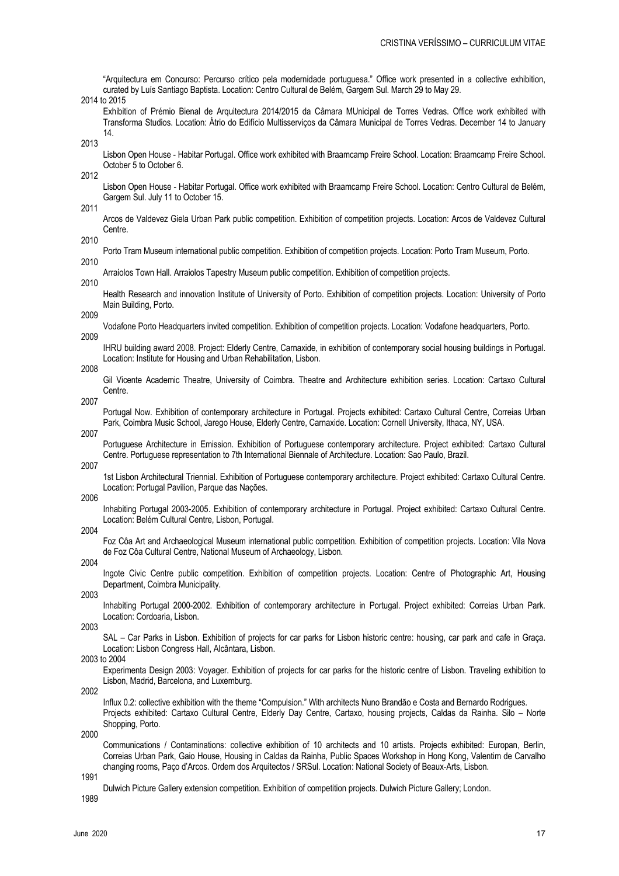|              | "Arquitectura em Concurso: Percurso crítico pela modernidade portuguesa." Office work presented in a collective exhibition,<br>curated by Luís Santiago Baptista. Location: Centro Cultural de Belém, Gargem Sul. March 29 to May 29.<br>2014 to 2015                         |
|--------------|-------------------------------------------------------------------------------------------------------------------------------------------------------------------------------------------------------------------------------------------------------------------------------|
|              | Exhibition of Prémio Bienal de Arquitectura 2014/2015 da Câmara MUnicipal de Torres Vedras. Office work exhibited with<br>Transforma Studios. Location: Átrio do Edifício Multisserviços da Câmara Municipal de Torres Vedras. December 14 to January<br>14.                  |
| 2013         | Lisbon Open House - Habitar Portugal. Office work exhibited with Braamcamp Freire School. Location: Braamcamp Freire School.                                                                                                                                                  |
| 2012         | October 5 to October 6.                                                                                                                                                                                                                                                       |
| 2011         | Lisbon Open House - Habitar Portugal. Office work exhibited with Braamcamp Freire School. Location: Centro Cultural de Belém,<br>Gargem Sul. July 11 to October 15.                                                                                                           |
|              | Arcos de Valdevez Giela Urban Park public competition. Exhibition of competition projects. Location: Arcos de Valdevez Cultural<br>Centre.                                                                                                                                    |
| 2010<br>2010 | Porto Tram Museum international public competition. Exhibition of competition projects. Location: Porto Tram Museum, Porto.                                                                                                                                                   |
|              | Arraiolos Town Hall. Arraiolos Tapestry Museum public competition. Exhibition of competition projects.                                                                                                                                                                        |
| 2010         | Health Research and innovation Institute of University of Porto. Exhibition of competition projects. Location: University of Porto<br>Main Building, Porto.                                                                                                                   |
| 2009         | Vodafone Porto Headquarters invited competition. Exhibition of competition projects. Location: Vodafone headquarters, Porto.                                                                                                                                                  |
| 2009         | IHRU building award 2008. Project: Elderly Centre, Carnaxide, in exhibition of contemporary social housing buildings in Portugal.                                                                                                                                             |
| 2008         | Location: Institute for Housing and Urban Rehabilitation, Lisbon.                                                                                                                                                                                                             |
| 2007         | Gil Vicente Academic Theatre, University of Coimbra. Theatre and Architecture exhibition series. Location: Cartaxo Cultural<br>Centre.                                                                                                                                        |
|              | Portugal Now. Exhibition of contemporary architecture in Portugal. Projects exhibited: Cartaxo Cultural Centre, Correias Urban<br>Park, Coimbra Music School, Jarego House, Elderly Centre, Carnaxide. Location: Cornell University, Ithaca, NY, USA.                         |
| 2007         | Portuguese Architecture in Emission. Exhibition of Portuguese contemporary architecture. Project exhibited: Cartaxo Cultural<br>Centre. Portuguese representation to 7th International Biennale of Architecture. Location: Sao Paulo, Brazil.                                 |
| 2007         | 1st Lisbon Architectural Triennial. Exhibition of Portuguese contemporary architecture. Project exhibited: Cartaxo Cultural Centre.<br>Location: Portugal Pavilion, Parque das Nações.                                                                                        |
| 2006         | Inhabiting Portugal 2003-2005. Exhibition of contemporary architecture in Portugal. Project exhibited: Cartaxo Cultural Centre.<br>Location: Belém Cultural Centre, Lisbon, Portugal.                                                                                         |
| 2004         | Foz Côa Art and Archaeological Museum international public competition. Exhibition of competition projects. Location: Vila Nova                                                                                                                                               |
| 2004         | de Foz Côa Cultural Centre, National Museum of Archaeology, Lisbon.                                                                                                                                                                                                           |
| 2003         | Ingote Civic Centre public competition. Exhibition of competition projects. Location: Centre of Photographic Art, Housing<br>Department, Coimbra Municipality.                                                                                                                |
|              | Inhabiting Portugal 2000-2002. Exhibition of contemporary architecture in Portugal. Project exhibited: Correias Urban Park.<br>Location: Cordoaria, Lisbon.                                                                                                                   |
| 2003         | SAL - Car Parks in Lisbon. Exhibition of projects for car parks for Lisbon historic centre: housing, car park and cafe in Graça.<br>Location: Lisbon Congress Hall, Alcântara, Lisbon.                                                                                        |
|              | 2003 to 2004<br>Experimenta Design 2003: Voyager. Exhibition of projects for car parks for the historic centre of Lisbon. Traveling exhibition to<br>Lisbon, Madrid, Barcelona, and Luxemburg.                                                                                |
| 2002         |                                                                                                                                                                                                                                                                               |
|              | Influx 0.2: collective exhibition with the theme "Compulsion." With architects Nuno Brandão e Costa and Bernardo Rodrigues.<br>Projects exhibited: Cartaxo Cultural Centre, Elderly Day Centre, Cartaxo, housing projects, Caldas da Rainha. Silo - Norte<br>Shopping, Porto. |
| 2000         | Communications / Contaminations: collective exhibition of 10 architects and 10 artists. Projects exhibited: Europan, Berlin,                                                                                                                                                  |
|              | Correias Urban Park, Gaio House, Housing in Caldas da Rainha, Public Spaces Workshop in Hong Kong, Valentim de Carvalho<br>changing rooms, Paço d'Arcos. Ordem dos Arquitectos / SRSul. Location: National Society of Beaux-Arts, Lisbon.                                     |
| 1991         |                                                                                                                                                                                                                                                                               |

Dulwich Picture Gallery extension competition. Exhibition of competition projects. Dulwich Picture Gallery; London.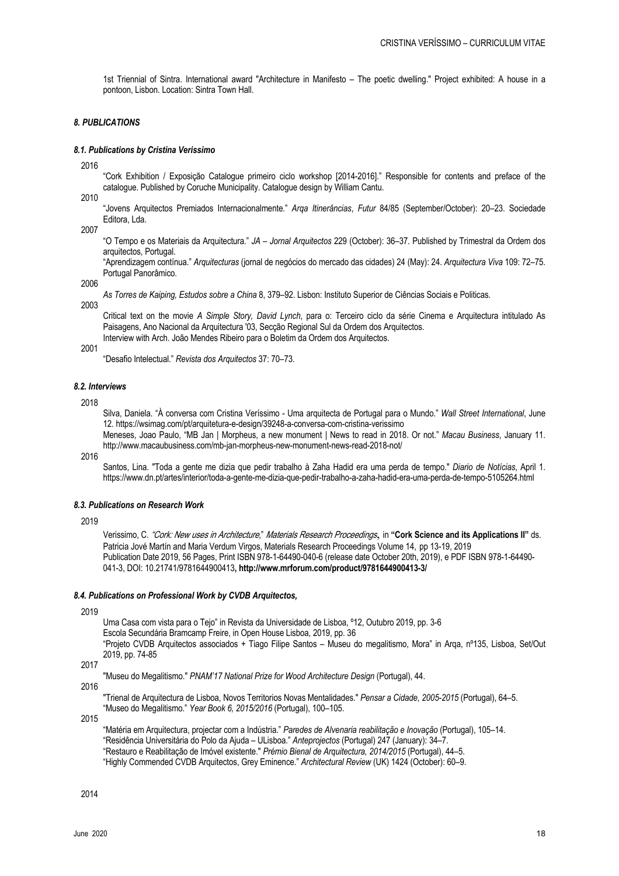1st Triennial of Sintra. International award "Architecture in Manifesto – The poetic dwelling." Project exhibited: A house in a pontoon, Lisbon. Location: Sintra Town Hall.

# *8. PUBLICATIONS*

## *8.1. Publications by Cristina Verissimo*

2016

"Cork Exhibition / Exposição Catalogue primeiro ciclo workshop [2014-2016]." Responsible for contents and preface of the catalogue. Published by Coruche Municipality. Catalogue design by William Cantu.

2010

"Jovens Arquitectos Premiados Internacionalmente." *Arqa Itinerâncias*, *Futur* 84/85 (September/October): 20–23. Sociedade Editora, Lda.

2007

"O Tempo e os Materiais da Arquitectura." *JA – Jornal Arquitectos* 229 (October): 36–37. Published by Trimestral da Ordem dos arquitectos, Portugal.

"Aprendizagem contínua." *Arquitecturas* (jornal de negócios do mercado das cidades) 24 (May): 24. *Arquitectura Viva* 109: 72–75. Portugal Panorâmico.

2006

*As Torres de Kaiping, Estudos sobre a China* 8, 379–92. Lisbon: Instituto Superior de Ciências Sociais e Politicas.

2003

Critical text on the movie *A Simple Story, David Lynch*, para o: Terceiro ciclo da série Cinema e Arquitectura intitulado As Paisagens, Ano Nacional da Arquitectura '03, Secção Regional Sul da Ordem dos Arquitectos. Interview with Arch. João Mendes Ribeiro para o Boletim da Ordem dos Arquitectos.

2001

"Desafio Intelectual." *Revista dos Arquitectos* 37: 70–73.

# *8.2. Interviews*

2018

Silva, Daniela. "À conversa com Cristina Veríssimo - Uma arquitecta de Portugal para o Mundo." *Wall Street International*, June 12. https://wsimag.com/pt/arquitetura-e-design/39248-a-conversa-com-cristina-verissimo

Meneses, Joao Paulo, "MB Jan | Morpheus, a new monument | News to read in 2018. Or not." *Macau Business*, January 11. http://www.macaubusiness.com/mb-jan-morpheus-new-monument-news-read-2018-not/

2016

Santos, Lina. "Toda a gente me dizia que pedir trabalho à Zaha Hadid era uma perda de tempo." *Diario de Notícias*, April 1. https://www.dn.pt/artes/interior/toda-a-gente-me-dizia-que-pedir-trabalho-a-zaha-hadid-era-uma-perda-de-tempo-5105264.html

# *8.3. Publications on Research Work*

2019

Verissimo, C. "Cork: New uses in Architecture," Materials Research Proceedings, in **"Cork Science and its Applications II"** ds. Patricia Jové Martín and Maria Verdum Virgos, Materials Research Proceedings Volume 14, pp 13-19, 2019 Publication Date 2019, 56 Pages, Print ISBN 978-1-64490-040-6 (release date October 20th, 2019), e PDF ISBN 978-1-64490- 041-3, DOI: 10.21741/9781644900413**, http://www.mrforum.com/product/9781644900413-3/**

#### *8.4. Publications on Professional Work by CVDB Arquitectos,*

2019

Uma Casa com vista para o Tejo" in Revista da Universidade de Lisboa, º12, Outubro 2019, pp. 3-6

Escola Secundária Bramcamp Freire, in Open House Lisboa, 2019, pp. 36

"Projeto CVDB Arquitectos associados + Tiago Filipe Santos – Museu do megalitismo, Mora" in Arqa, nº135, Lisboa, Set/Out 2019, pp. 74-85

2017

"Museu do Megalitismo." *PNAM'17 National Prize for Wood Architecture Design* (Portugal), 44.

2016

"Trienal de Arquitectura de Lisboa, Novos Territorios Novas Mentalidades." *Pensar a Cidade, 2005-2015* (Portugal), 64–5. "Museo do Megalitismo." *Year Book 6, 2015/2016* (Portugal), 100–105.

2015

"Matéria em Arquitectura, projectar com a Indústria." *Paredes de Alvenaria reabilitação e Inovação* (Portugal), 105–14. "Residência Universitária do Polo da Ajuda – ULisboa." *Anteprojectos* (Portugal) 247 (January): 34–7. "Restauro e Reabilitação de Imóvel existente." *Prémio Bienal de Arquitectura, 2014/2015* (Portugal), 44–5. "Highly Commended CVDB Arquitectos, Grey Eminence." *Architectural Review* (UK) 1424 (October): 60–9.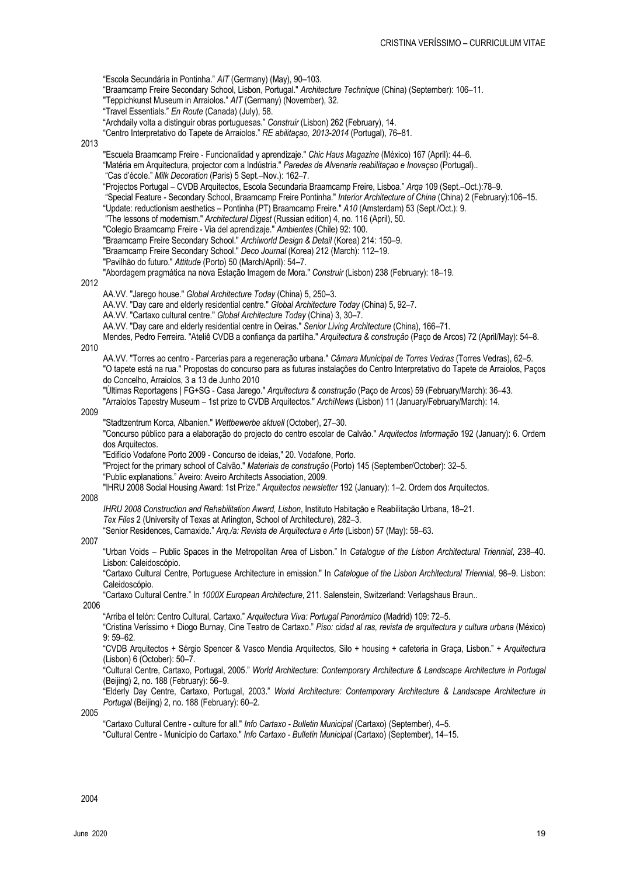"Escola Secundária in Pontinha." *AIT* (Germany) (May), 90–103. "Braamcamp Freire Secondary School, Lisbon, Portugal." *Architecture Technique* (China) (September): 106–11. "Teppichkunst Museum in Arraiolos." *AIT* (Germany) (November), 32. "Travel Essentials." *En Route* (Canada) (July), 58. "Archdaily volta a distinguir obras portuguesas." *Construir* (Lisbon) 262 (February), 14. "Centro Interpretativo do Tapete de Arraiolos." *RE abilitaçao, 2013-2014* (Portugal), 76–81. 2013 "Escuela Braamcamp Freire - Funcionalidad y aprendizaje." *Chic Haus Magazine* (México) 167 (April): 44–6. "Matéria em Arquitectura, projector com a Indústria." *Paredes de Alvenaria reabilitaçao e Inovaçao* (Portugal).. "Cas d'école." *Milk Decoration* (Paris) 5 Sept.–Nov.): 162–7. "Projectos Portugal – CVDB Arquitectos, Escola Secundaria Braamcamp Freire, Lisboa." *Arqa* 109 (Sept.–Oct.):78–9. "Special Feature - Secondary School, Braamcamp Freire Pontinha." *Interior Architecture of China* (China) 2 (February):106–15. "Update: reductionism aesthetics – Pontinha (PT) Braamcamp Freire." *A10* (Amsterdam) 53 (Sept./Oct.): 9. "The lessons of modernism." *Architectural Digest* (Russian edition) 4, no. 116 (April), 50. "Colegio Braamcamp Freire - Via del aprendizaje." *Ambientes* (Chile) 92: 100. "Braamcamp Freire Secondary School." *Archiworld Design & Detail* (Korea) 214: 150–9. "Braamcamp Freire Secondary School." *Deco Journal* (Korea) 212 (March): 112–19. "Pavilhão do futuro." *Attitude* (Porto) 50 (March/April): 54–7. "Abordagem pragmática na nova Estação Imagem de Mora." *Construir* (Lisbon) 238 (February): 18–19. 2012 AA.VV. "Jarego house." *Global Architecture Today* (China) 5, 250–3. AA.VV. "Day care and elderly residential centre." *Global Architecture Today* (China) 5, 92–7. AA.VV. "Cartaxo cultural centre." *Global Architecture Today* (China) 3, 30–7. AA.VV. "Day care and elderly residential centre in Oeiras." *Senior Living Architecture* (China), 166–71. Mendes, Pedro Ferreira. "Ateliê CVDB a confiança da partilha." *Arquitectura & construção* (Paço de Arcos) 72 (April/May): 54–8. 2010 AA.VV. "Torres ao centro - Parcerias para a regeneração urbana." *Câmara Municipal de Torres Vedras* (Torres Vedras), 62–5. "O tapete está na rua." Propostas do concurso para as futuras instalações do Centro Interpretativo do Tapete de Arraiolos, Paços do Concelho, Arraiolos, 3 a 13 de Junho 2010 "Últimas Reportagens | FG+SG - Casa Jarego." *Arquitectura & construção* (Paço de Arcos) 59 (February/March): 36–43. "Arraiolos Tapestry Museum – 1st prize to CVDB Arquitectos." *ArchiNews* (Lisbon) 11 (January/February/March): 14. 2009 "Stadtzentrum Korca, Albanien." *Wettbewerbe aktuell* (October), 27–30. "Concurso público para a elaboração do projecto do centro escolar de Calvão." *Arquitectos Informação* 192 (January): 6. Ordem dos Arquitectos. "Edifício Vodafone Porto 2009 - Concurso de ideias," 20. Vodafone, Porto. "Project for the primary school of Calvão." *Materiais de construção* (Porto) 145 (September/October): 32–5. "Public explanations." Aveiro: Aveiro Architects Association, 2009. "IHRU 2008 Social Housing Award: 1st Prize." *Arquitectos newsletter* 192 (January): 1–2. Ordem dos Arquitectos. 2008 *IHRU 2008 Construction and Rehabilitation Award, Lisbon*, Instituto Habitação e Reabilitação Urbana, 18–21. *Tex Files* 2 (University of Texas at Arlington, School of Architecture), 282–3. "Senior Residences, Carnaxide." *Arq./a: Revista de Arquitectura e Arte* (Lisbon) 57 (May): 58–63. 2007 "Urban Voids – Public Spaces in the Metropolitan Area of Lisbon." In *Catalogue of the Lisbon Architectural Triennial*, 238–40. Lisbon: Caleidoscópio. "Cartaxo Cultural Centre, Portuguese Architecture in emission." In *Catalogue of the Lisbon Architectural Triennial*, 98–9. Lisbon: Caleidoscópio. "Cartaxo Cultural Centre." In *1000X European Architecture*, 211. Salenstein, Switzerland: Verlagshaus Braun.. 2006 "Arriba el telón: Centro Cultural, Cartaxo." *Arquitectura Viva: Portugal Panorámico* (Madrid) 109: 72–5. "Cristina Veríssimo + Diogo Burnay, Cine Teatro de Cartaxo." *Piso: cidad al ras, revista de arquitectura y cultura urbana* (México) 9: 59–62. "CVDB Arquitectos + Sérgio Spencer & Vasco Mendia Arquitectos, Silo + housing + cafeteria in Graça, Lisbon." + *Arquitectura* (Lisbon) 6 (October): 50–7. "Cultural Centre, Cartaxo, Portugal, 2005." *World Architecture: Contemporary Architecture & Landscape Architecture in Portugal* (Beijing) 2, no. 188 (February): 56–9. "Elderly Day Centre, Cartaxo, Portugal, 2003." *World Architecture: Contemporary Architecture & Landscape Architecture in Portugal* (Beijing) 2, no. 188 (February): 60–2. 2005

"Cartaxo Cultural Centre - culture for all." *Info Cartaxo - Bulletin Municipal* (Cartaxo) (September), 4–5. "Cultural Centre - Município do Cartaxo." *Info Cartaxo - Bulletin Municipal* (Cartaxo) (September), 14–15.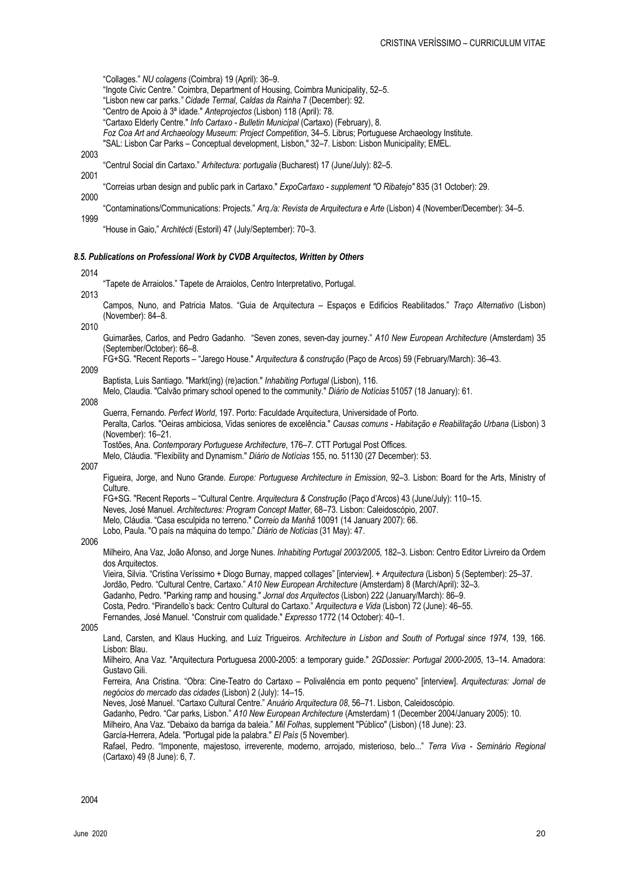"Collages." *NU colagens* (Coimbra) 19 (April): 36–9.

- "Ingote Civic Centre." Coimbra, Department of Housing, Coimbra Municipality, 52–5.
- "Lisbon new car parks*." Cidade Termal, Caldas da Rainha* 7 (December): 92.
- "Centro de Apoio à 3ª idade." *Anteprojectos* (Lisbon) 118 (April): 78.
- "Cartaxo Elderly Centre." *Info Cartaxo - Bulletin Municipal* (Cartaxo) (February), 8.
- *Foz Coa Art and Archaeology Museum: Project Competition*, 34–5. Librus; Portuguese Archaeology Institute.
- "SAL: Lisbon Car Parks Conceptual development, Lisbon," 32–7. Lisbon: Lisbon Municipality; EMEL.
- 2003
- "Centrul Social din Cartaxo." *Arhitectura: portugalia* (Bucharest) 17 (June/July): 82–5. 2001
- "Correias urban design and public park in Cartaxo." *ExpoCartaxo - supplement "O Ribatejo"* 835 (31 October): 29.
- 2000 "Contaminations/Communications: Projects." *Arq./a: Revista de Arquitectura e Arte* (Lisbon) 4 (November/December): 34–5. 1999
	- "House in Gaio," *Architécti* (Estoril) 47 (July/September): 70–3.

## *8.5. Publications on Professional Work by CVDB Arquitectos, Written by Others*

#### 2014

"Tapete de Arraiolos." Tapete de Arraiolos, Centro Interpretativo, Portugal.

- 2013
	- Campos, Nuno, and Patricia Matos. "Guia de Arquitectura Espaços e Edificios Reabilitados." *Traço Alternativo* (Lisbon) (November): 84–8.

2010

Guimarães, Carlos, and Pedro Gadanho. "Seven zones, seven-day journey." *A10 New European Architecture* (Amsterdam) 35 (September/October): 66–8.

FG+SG. "Recent Reports – "Jarego House." *Arquitectura & construção* (Paço de Arcos) 59 (February/March): 36–43.

# 2009

Baptista, Luis Santiago. "Markt(ing) (re)action." *Inhabiting Portugal* (Lisbon), 116.

Melo, Claudia. "Calvão primary school opened to the community." *Diário de Notícias* 51057 (18 January): 61.

#### 2008

Guerra, Fernando. *Perfect World*, 197. Porto: Faculdade Arquitectura, Universidade of Porto. Peralta, Carlos. "Oeiras ambiciosa, Vidas seniores de excelência." *Causas comuns - Habitação e Reabilitação Urbana* (Lisbon) 3 (November): 16–21.

Tostões, Ana. *Contemporary Portuguese Architecture*, 176*–7.* CTT Portugal Post Offices.

Melo, Cláudia. "Flexibility and Dynamism." *Diário de Notícias* 155, no. 51130 (27 December): 53.

# 2007

Figueira, Jorge, and Nuno Grande. *Europe: Portuguese Architecture in Emission*, 92–3. Lisbon: Board for the Arts, Ministry of Culture.

FG+SG. "Recent Reports – "Cultural Centre. *Arquitectura & Construção* (Paço d'Arcos) 43 (June/July): 110–15.

Neves, José Manuel. *Architectures: Program Concept Matter*, 68–73. Lisbon: Caleidoscópio, 2007.

Melo, Cláudia. "Casa esculpida no terreno." *Correio da Manhã* 10091 (14 January 2007): 66.

Lobo, Paula. "O país na máquina do tempo." *Diário de Notícias* (31 May): 47.

# 2006

Milheiro, Ana Vaz, João Afonso, and Jorge Nunes. *Inhabiting Portugal 2003/2005*, 182–3. Lisbon: Centro Editor Livreiro da Ordem dos Arquitectos.

Vieira, Silvia. "Cristina Veríssimo + Diogo Burnay, mapped collages" [interview]. *+ Arquitectura* (Lisbon) 5 (September): 25–37.

Jordão, Pedro. "Cultural Centre, Cartaxo." *A10 New European Architecture* (Amsterdam) 8 (March/April): 32–3.

Gadanho, Pedro. "Parking ramp and housing." *Jornal dos Arquitectos* (Lisbon) 222 (January/March): 86–9.

Costa, Pedro. "Pirandello's back: Centro Cultural do Cartaxo." *Arquitectura e Vida* (Lisbon) 72 (June): 46–55.

Fernandes, José Manuel. "Construir com qualidade." *Expresso* 1772 (14 October): 40–1.

2005

Land, Carsten, and Klaus Hucking, and Luiz Trigueiros. *Architecture in Lisbon and South of Portugal since 1974*, 139, 166. Lisbon: Blau.

Milheiro, Ana Vaz. "Arquitectura Portuguesa 2000-2005: a temporary guide." *2GDossier: Portugal 2000-2005*, 13–14. Amadora: Gustavo Gili.

Ferreira, Ana Cristina. "Obra: Cine-Teatro do Cartaxo – Polivalência em ponto pequeno" [interview]. *Arquitecturas: Jornal de negócios do mercado das cidades* (Lisbon) 2 (July): 14–15.

Neves, José Manuel. "Cartaxo Cultural Centre." *Anuário Arquitectura 08*, 56–71. Lisbon, Caleidoscópio.

Gadanho, Pedro. "Car parks, Lisbon." *A10 New European Architecture* (Amsterdam) 1 (December 2004/January 2005): 10.

Milheiro, Ana Vaz. "Debaixo da barriga da baleia." *Mil Folhas*, supplement "Público" (Lisbon) (18 June): 23.

García-Herrera, Adela. "Portugal pide la palabra." *El País* (5 November).

Rafael, Pedro. "Imponente, majestoso, irreverente, moderno, arrojado, misterioso, belo..." *Terra Viva - Seminário Regional* (Cartaxo) 49 (8 June): 6, 7.